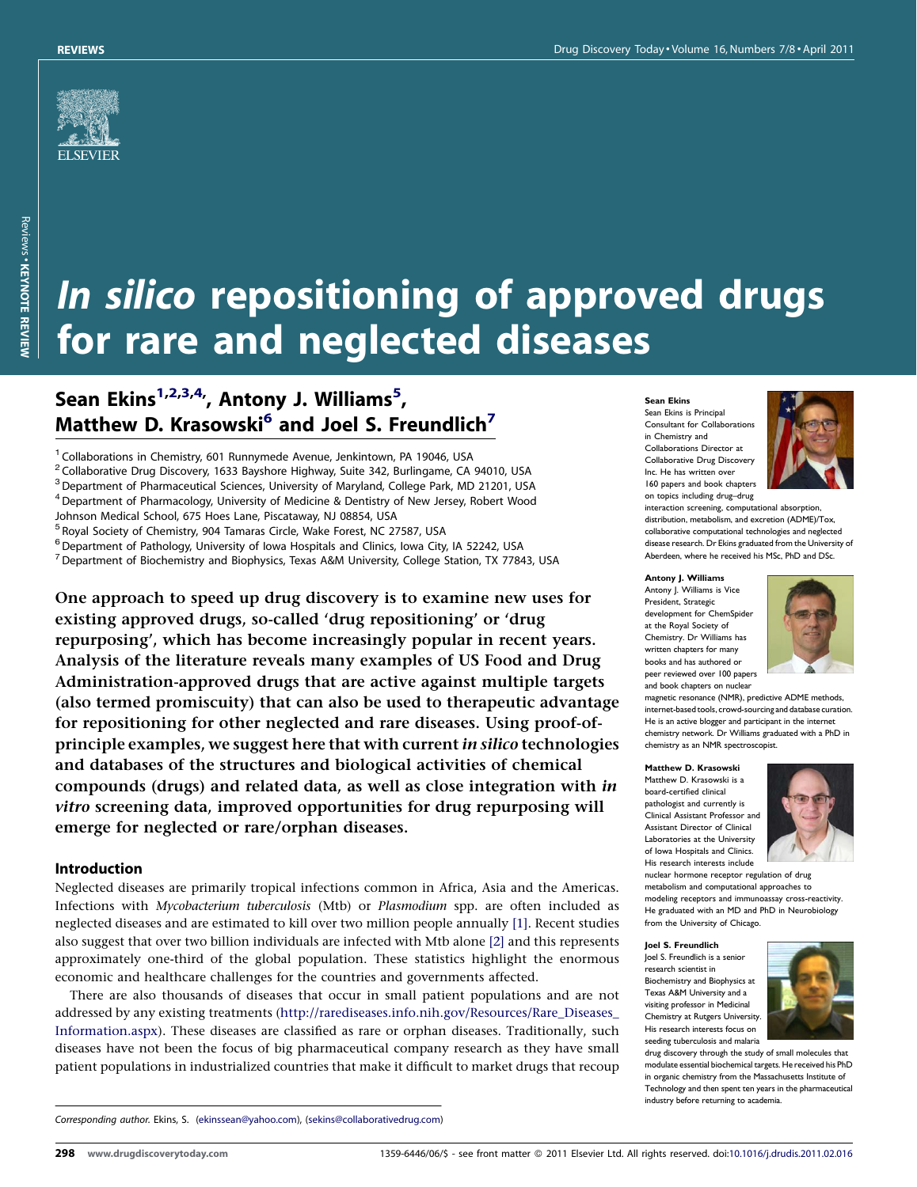

# In silico repositioning of approved drugs for rare and neglected diseases

## Sean Ekins<sup>1,2,3,4,</sup>, Antony J. Williams<sup>5</sup>, Matthew D. Krasowski<sup>6</sup> and Joel S. Freundlich<sup>7</sup>

<sup>1</sup> Collaborations in Chemistry, 601 Runnymede Avenue, Jenkintown, PA 19046, USA

<sup>2</sup> Collaborative Drug Discovery, 1633 Bayshore Highway, Suite 342, Burlingame, CA 94010, USA

 $3$  Department of Pharmaceutical Sciences, University of Maryland, College Park, MD 21201, USA

 $4$  Department of Pharmacology, University of Medicine & Dentistry of New Jersey, Robert Wood

Johnson Medical School, 675 Hoes Lane, Piscataway, NJ 08854, USA

<sup>5</sup> Royal Society of Chemistry, 904 Tamaras Circle, Wake Forest, NC 27587, USA

 $6$  Department of Pathology, University of Iowa Hospitals and Clinics, Iowa City, IA 52242, USA

 $7$  Department of Biochemistry and Biophysics, Texas A&M University, College Station, TX 77843, USA

One approach to speed up drug discovery is to examine new uses for existing approved drugs, so-called 'drug repositioning' or 'drug repurposing', which has become increasingly popular in recent years. Analysis of the literature reveals many examples of US Food and Drug Administration-approved drugs that are active against multiple targets (also termed promiscuity) that can also be used to therapeutic advantage for repositioning for other neglected and rare diseases. Using proof-ofprinciple examples, we suggest here that with current in silico technologies and databases of the structures and biological activities of chemical compounds (drugs) and related data, as well as close integration with in vitro screening data, improved opportunities for drug repurposing will emerge for neglected or rare/orphan diseases.

#### Introduction

Neglected diseases are primarily tropical infections common in Africa, Asia and the Americas. Infections with Mycobacterium tuberculosis (Mtb) or Plasmodium spp. are often included as neglected diseases and are estimated to kill over two million people annually [\[1\].](#page-10-0) Recent studies also suggest that over two billion individuals are infected with Mtb alone [\[2\]](#page-10-0) and this represents approximately one-third of the global population. These statistics highlight the enormous economic and healthcare challenges for the countries and governments affected.

There are also thousands of diseases that occur in small patient populations and are not addressed by any existing treatments [\(http://rarediseases.info.nih.gov/Resources/Rare\\_Diseases\\_](http://rarediseases.info.nih.gov/Resources/Rare_Diseases_Information.aspx) [Information.aspx\)](http://rarediseases.info.nih.gov/Resources/Rare_Diseases_Information.aspx). These diseases are classified as rare or orphan diseases. Traditionally, such diseases have not been the focus of big pharmaceutical company research as they have small patient populations in industrialized countries that make it difficult to market drugs that recoup

#### Sean Ekins

Sean Ekins is Principal Consultant for Collaborations in Chemistry and Collaborations Director at Collaborative Drug Discovery Inc. He has written over 160 papers and book chapters on topics including drug–drug



interaction screening, computational absorption, distribution, metabolism, and excretion (ADME)/Tox, collaborative computational technologies and neglected disease research. Dr Ekins graduated from the University of Aberdeen, where he received his MSc, PhD and DSc.

Antony J. Williams Antony J. Williams is Vice President, Strategic development for ChemSpide at the Royal Society of Chemistry. Dr Williams has written chapters for many books and has authored or peer reviewed over 100 papers and book chapters on nuclear



magnetic resonance (NMR), predictive ADME methods, internet-based tools, crowd-sourcing and databasecuration. He is an active blogger and participant in the internet chemistry network. Dr Williams graduated with a PhD in chemistry as an NMR spectroscopist.

Matthew D. Krasowski Matthew D. Krasowski is a board-certified clinical pathologist and currently is .<br>Clinical Assistant Professor and Assistant Director of Clinical Laboratories at the University of Iowa Hospitals and Clinics. His research interests include



nuclear hormone receptor regulation of drug metabolism and computational approaches to modeling receptors and immunoassay cross-reactivity. He graduated with an MD and PhD in Neurobiology from the University of Chicago.

#### Joel S. Freundlich

Joel S. Freundlich is a senior research scientist in Biochemistry and Biophysics at Texas A&M University and a visiting professor in Medicinal Chemistry at Rutgers University. His research interests focus on seeding tuberculosis and malaria



drug discovery through the study of small molecules that modulate essential biochemical targets. He received his PhD in organic chemistry from the Massachusetts Institute of Technology and then spent ten years in the pharmaceutical industry before returning to academia.

Corresponding author. Ekins, S. ([ekinssean@yahoo.com](mailto:ekinssean@yahoo.com)), [\(sekins@collaborativedrug.com](mailto:sekins@collaborativedrug.com))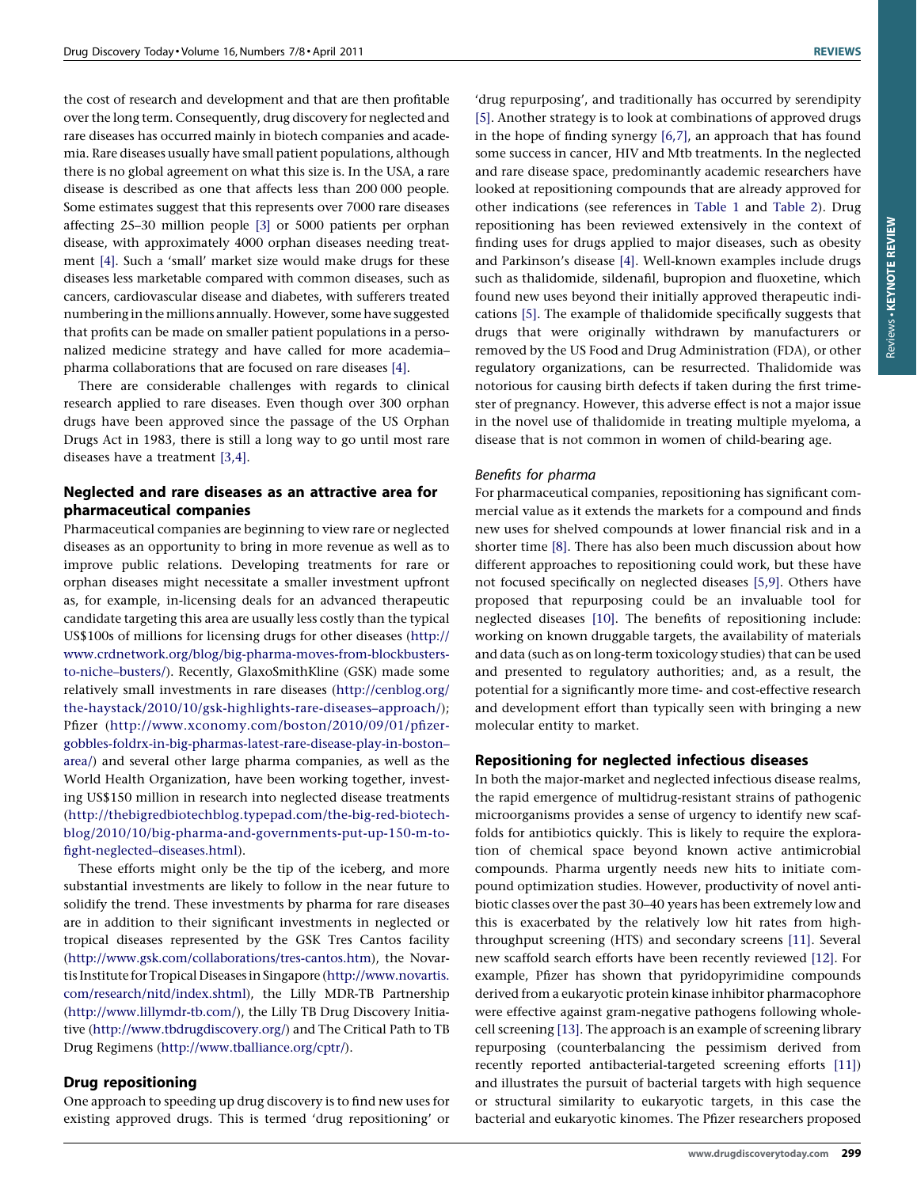the cost of research and development and that are then profitable over the long term. Consequently, drug discovery for neglected and rare diseases has occurred mainly in biotech companies and academia. Rare diseases usually have small patient populations, although there is no global agreement on what this size is. In the USA, a rare disease is described as one that affects less than 200 000 people. Some estimates suggest that this represents over 7000 rare diseases affecting 25–30 million people [\[3\]](#page-10-0) or 5000 patients per orphan disease, with approximately 4000 orphan diseases needing treatment [\[4\].](#page-10-0) Such a 'small' market size would make drugs for these diseases less marketable compared with common diseases, such as cancers, cardiovascular disease and diabetes, with sufferers treated numbering in the millions annually. However, some have suggested that profits can be made on smaller patient populations in a personalized medicine strategy and have called for more academia– pharma collaborations that are focused on rare diseases [\[4\].](#page-10-0)

There are considerable challenges with regards to clinical research applied to rare diseases. Even though over 300 orphan drugs have been approved since the passage of the US Orphan Drugs Act in 1983, there is still a long way to go until most rare diseases have a treatment [\[3,4\].](#page-10-0)

## Neglected and rare diseases as an attractive area for pharmaceutical companies

Pharmaceutical companies are beginning to view rare or neglected diseases as an opportunity to bring in more revenue as well as to improve public relations. Developing treatments for rare or orphan diseases might necessitate a smaller investment upfront as, for example, in-licensing deals for an advanced therapeutic candidate targeting this area are usually less costly than the typical US\$100s of millions for licensing drugs for other diseases [\(http://](http://www.chemspider.com/) [www.crdnetwork.org/blog/big-pharma-moves-from-blockbusters](http://www.chemspider.com/)[to-niche–busters/\)](http://www.chemspider.com/). Recently, GlaxoSmithKline (GSK) made some relatively small investments in rare diseases ([http://cenblog.org/](http://cenblog.org/the-haystack/2010/10/gsk-highlights-rare-diseases-approach/) [the-haystack/2010/10/gsk-highlights-rare-diseases–approach/\)](http://cenblog.org/the-haystack/2010/10/gsk-highlights-rare-diseases-approach/); Pfizer [\(http://www.xconomy.com/boston/2010/09/01/pfizer](http://www.xconomy.com/boston/2010/09/01/pfizer-gobbles-foldrx-in-big-pharmas-latest-rare-disease-play-in-boston-area/)[gobbles-foldrx-in-big-pharmas-latest-rare-disease-play-in-boston–](http://www.xconomy.com/boston/2010/09/01/pfizer-gobbles-foldrx-in-big-pharmas-latest-rare-disease-play-in-boston-area/) [area/\)](http://www.xconomy.com/boston/2010/09/01/pfizer-gobbles-foldrx-in-big-pharmas-latest-rare-disease-play-in-boston-area/) and several other large pharma companies, as well as the World Health Organization, have been working together, investing US\$150 million in research into neglected disease treatments ([http://thebigredbiotechblog.typepad.com/the-big-red-biotech](http://thebigredbiotechblog.typepad.com/the-big-red-biotech-blog/2010/10/big-pharma-and-governments-put-up-150-m-to-fight-neglected-diseases.html)[blog/2010/10/big-pharma-and-governments-put-up-150-m-to](http://thebigredbiotechblog.typepad.com/the-big-red-biotech-blog/2010/10/big-pharma-and-governments-put-up-150-m-to-fight-neglected-diseases.html)[fight-neglected–diseases.html\)](http://thebigredbiotechblog.typepad.com/the-big-red-biotech-blog/2010/10/big-pharma-and-governments-put-up-150-m-to-fight-neglected-diseases.html).

These efforts might only be the tip of the iceberg, and more substantial investments are likely to follow in the near future to solidify the trend. These investments by pharma for rare diseases are in addition to their significant investments in neglected or tropical diseases represented by the GSK Tres Cantos facility [\(http://www.gsk.com/collaborations/tres-cantos.htm](http://www.gsk.com/collaborations/tres-cantos.htm)), the Novartis Institute for Tropical Diseases in Singapore [\(http://www.novartis.](http://www.novartis.com/research/nitd/index.shtml) [com/research/nitd/index.shtml](http://www.novartis.com/research/nitd/index.shtml)), the Lilly MDR-TB Partnership [\(http://www.lillymdr-tb.com/](http://www.lillymdr-tb.com/)), the Lilly TB Drug Discovery Initiative [\(http://www.tbdrugdiscovery.org/\)](http://www.tbdrugdiscovery.org/) and The Critical Path to TB Drug Regimens ([http://www.tballiance.org/cptr/\)](http://www.tballiance.org/cptr/).

#### Drug repositioning

One approach to speeding up drug discovery is to find new uses for existing approved drugs. This is termed 'drug repositioning' or

'drug repurposing', and traditionally has occurred by serendipity [\[5\].](#page-10-0) Another strategy is to look at combinations of approved drugs in the hope of finding synergy [\[6,7\]](#page-10-0), an approach that has found some success in cancer, HIV and Mtb treatments. In the neglected and rare disease space, predominantly academic researchers have looked at repositioning compounds that are already approved for other indications (see references in [Table 1](#page-2-0) and [Table 2\)](#page-3-0). Drug repositioning has been reviewed extensively in the context of finding uses for drugs applied to major diseases, such as obesity and Parkinson's disease [\[4\]](#page-10-0). Well-known examples include drugs such as thalidomide, sildenafil, bupropion and fluoxetine, which found new uses beyond their initially approved therapeutic indications [\[5\].](#page-10-0) The example of thalidomide specifically suggests that drugs that were originally withdrawn by manufacturers or removed by the US Food and Drug Administration (FDA), or other regulatory organizations, can be resurrected. Thalidomide was notorious for causing birth defects if taken during the first trimester of pregnancy. However, this adverse effect is not a major issue in the novel use of thalidomide in treating multiple myeloma, a disease that is not common in women of child-bearing age.

#### Benefits for pharma

For pharmaceutical companies, repositioning has significant commercial value as it extends the markets for a compound and finds new uses for shelved compounds at lower financial risk and in a shorter time [\[8\]](#page-10-0). There has also been much discussion about how different approaches to repositioning could work, but these have not focused specifically on neglected diseases [\[5,9\]](#page-10-0). Others have proposed that repurposing could be an invaluable tool for neglected diseases [\[10\].](#page-10-0) The benefits of repositioning include: working on known druggable targets, the availability of materials and data (such as on long-term toxicology studies) that can be used and presented to regulatory authorities; and, as a result, the potential for a significantly more time- and cost-effective research and development effort than typically seen with bringing a new molecular entity to market.

#### Repositioning for neglected infectious diseases

In both the major-market and neglected infectious disease realms, the rapid emergence of multidrug-resistant strains of pathogenic microorganisms provides a sense of urgency to identify new scaffolds for antibiotics quickly. This is likely to require the exploration of chemical space beyond known active antimicrobial compounds. Pharma urgently needs new hits to initiate compound optimization studies. However, productivity of novel antibiotic classes over the past 30–40 years has been extremely low and this is exacerbated by the relatively low hit rates from highthroughput screening (HTS) and secondary screens [\[11\].](#page-10-0) Several new scaffold search efforts have been recently reviewed [\[12\]](#page-10-0). For example, Pfizer has shown that pyridopyrimidine compounds derived from a eukaryotic protein kinase inhibitor pharmacophore were effective against gram-negative pathogens following wholecell screening [\[13\]](#page-10-0). The approach is an example of screening library repurposing (counterbalancing the pessimism derived from recently reported antibacterial-targeted screening efforts [\[11\]](#page-10-0)) and illustrates the pursuit of bacterial targets with high sequence or structural similarity to eukaryotic targets, in this case the bacterial and eukaryotic kinomes. The Pfizer researchers proposed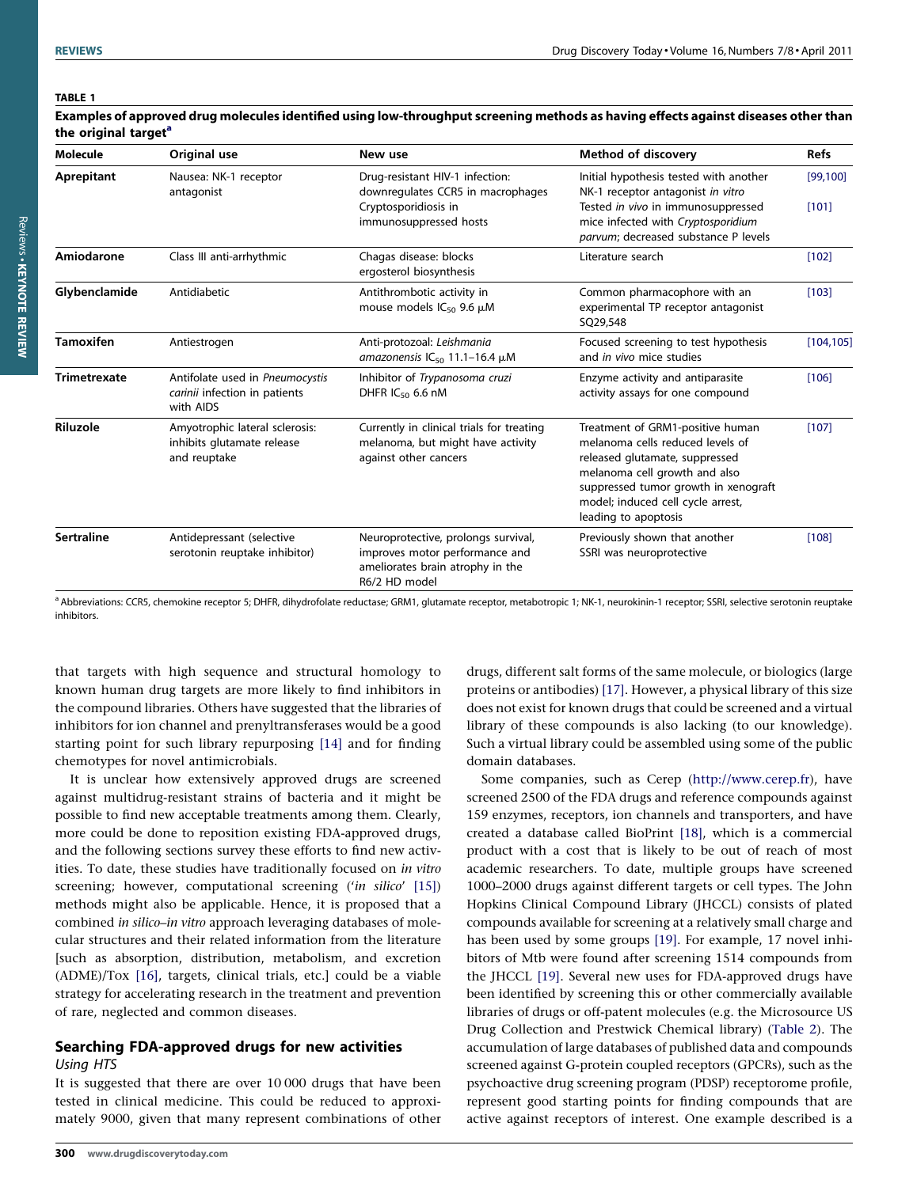#### <span id="page-2-0"></span>TABLE 1

| <b>Molecule</b>     | Original use                                                                  | New use                                                                                                                    | <b>Method of discovery</b>                                                                                                                                                                                                                   | <b>Refs</b>        |
|---------------------|-------------------------------------------------------------------------------|----------------------------------------------------------------------------------------------------------------------------|----------------------------------------------------------------------------------------------------------------------------------------------------------------------------------------------------------------------------------------------|--------------------|
| Aprepitant          | Nausea: NK-1 receptor<br>antagonist                                           | Drug-resistant HIV-1 infection:<br>downregulates CCR5 in macrophages<br>Cryptosporidiosis in<br>immunosuppressed hosts     | Initial hypothesis tested with another<br>NK-1 receptor antagonist in vitro<br>Tested in vivo in immunosuppressed<br>mice infected with Cryptosporidium<br>parvum; decreased substance P levels                                              | [99, 100]<br>[101] |
| Amiodarone          | Class III anti-arrhythmic                                                     | Chagas disease: blocks<br>ergosterol biosynthesis                                                                          | Literature search                                                                                                                                                                                                                            | [102]              |
| Glybenclamide       | Antidiabetic                                                                  | Antithrombotic activity in<br>mouse models $IC_{50}$ 9.6 $\mu$ M                                                           | Common pharmacophore with an<br>experimental TP receptor antagonist<br>SO29,548                                                                                                                                                              | [103]              |
| <b>Tamoxifen</b>    | Antiestrogen                                                                  | Anti-protozoal: Leishmania<br>amazonensis $IC_{50}$ 11.1-16.4 $\mu$ M                                                      | Focused screening to test hypothesis<br>and in vivo mice studies                                                                                                                                                                             | [104, 105]         |
| <b>Trimetrexate</b> | Antifolate used in Pneumocystis<br>carinii infection in patients<br>with AIDS | Inhibitor of Trypanosoma cruzi<br>DHFR $IC_{50}$ 6.6 nM                                                                    | Enzyme activity and antiparasite<br>activity assays for one compound                                                                                                                                                                         | [106]              |
| Riluzole            | Amyotrophic lateral sclerosis:<br>inhibits glutamate release<br>and reuptake  | Currently in clinical trials for treating<br>melanoma, but might have activity<br>against other cancers                    | Treatment of GRM1-positive human<br>melanoma cells reduced levels of<br>released glutamate, suppressed<br>melanoma cell growth and also<br>suppressed tumor growth in xenograft<br>model; induced cell cycle arrest,<br>leading to apoptosis | [107]              |
| <b>Sertraline</b>   | Antidepressant (selective<br>serotonin reuptake inhibitor)                    | Neuroprotective, prolongs survival,<br>improves motor performance and<br>ameliorates brain atrophy in the<br>R6/2 HD model | Previously shown that another<br>SSRI was neuroprotective                                                                                                                                                                                    | [108]              |

Examples of approved drug molecules identified using low-throughput screening methods as having effects against diseases other than the original target<sup>a</sup>

a Abbreviations: CCR5, chemokine receptor 5; DHFR, dihydrofolate reductase; GRM1, glutamate receptor, metabotropic 1; NK-1, neurokinin-1 receptor; SSRI, selective serotonin reuptake inhibitors.

that targets with high sequence and structural homology to known human drug targets are more likely to find inhibitors in the compound libraries. Others have suggested that the libraries of inhibitors for ion channel and prenyltransferases would be a good starting point for such library repurposing [\[14\]](#page-10-0) and for finding chemotypes for novel antimicrobials.

It is unclear how extensively approved drugs are screened against multidrug-resistant strains of bacteria and it might be possible to find new acceptable treatments among them. Clearly, more could be done to reposition existing FDA-approved drugs, and the following sections survey these efforts to find new activities. To date, these studies have traditionally focused on in vitro screening; however, computational screening ('in silico' [\[15\]\)](#page-10-0) methods might also be applicable. Hence, it is proposed that a combined in silico-in vitro approach leveraging databases of molecular structures and their related information from the literature [such as absorption, distribution, metabolism, and excretion (ADME)/Tox [\[16\],](#page-10-0) targets, clinical trials, etc.] could be a viable strategy for accelerating research in the treatment and prevention of rare, neglected and common diseases.

## Searching FDA-approved drugs for new activities Using HTS

It is suggested that there are over 10 000 drugs that have been tested in clinical medicine. This could be reduced to approximately 9000, given that many represent combinations of other drugs, different salt forms of the same molecule, or biologics (large proteins or antibodies) [\[17\]](#page-10-0). However, a physical library of this size does not exist for known drugs that could be screened and a virtual library of these compounds is also lacking (to our knowledge). Such a virtual library could be assembled using some of the public domain databases.

Some companies, such as Cerep ([http://www.cerep.fr](http://www.cerep.fr/)), have screened 2500 of the FDA drugs and reference compounds against 159 enzymes, receptors, ion channels and transporters, and have created a database called BioPrint [\[18\],](#page-10-0) which is a commercial product with a cost that is likely to be out of reach of most academic researchers. To date, multiple groups have screened 1000–2000 drugs against different targets or cell types. The John Hopkins Clinical Compound Library (JHCCL) consists of plated compounds available for screening at a relatively small charge and has been used by some groups [\[19\].](#page-10-0) For example, 17 novel inhibitors of Mtb were found after screening 1514 compounds from the JHCCL [\[19\]](#page-10-0). Several new uses for FDA-approved drugs have been identified by screening this or other commercially available libraries of drugs or off-patent molecules (e.g. the Microsource US Drug Collection and Prestwick Chemical library) ([Table 2\)](#page-3-0). The accumulation of large databases of published data and compounds screened against G-protein coupled receptors (GPCRs), such as the psychoactive drug screening program (PDSP) receptorome profile, represent good starting points for finding compounds that are active against receptors of interest. One example described is a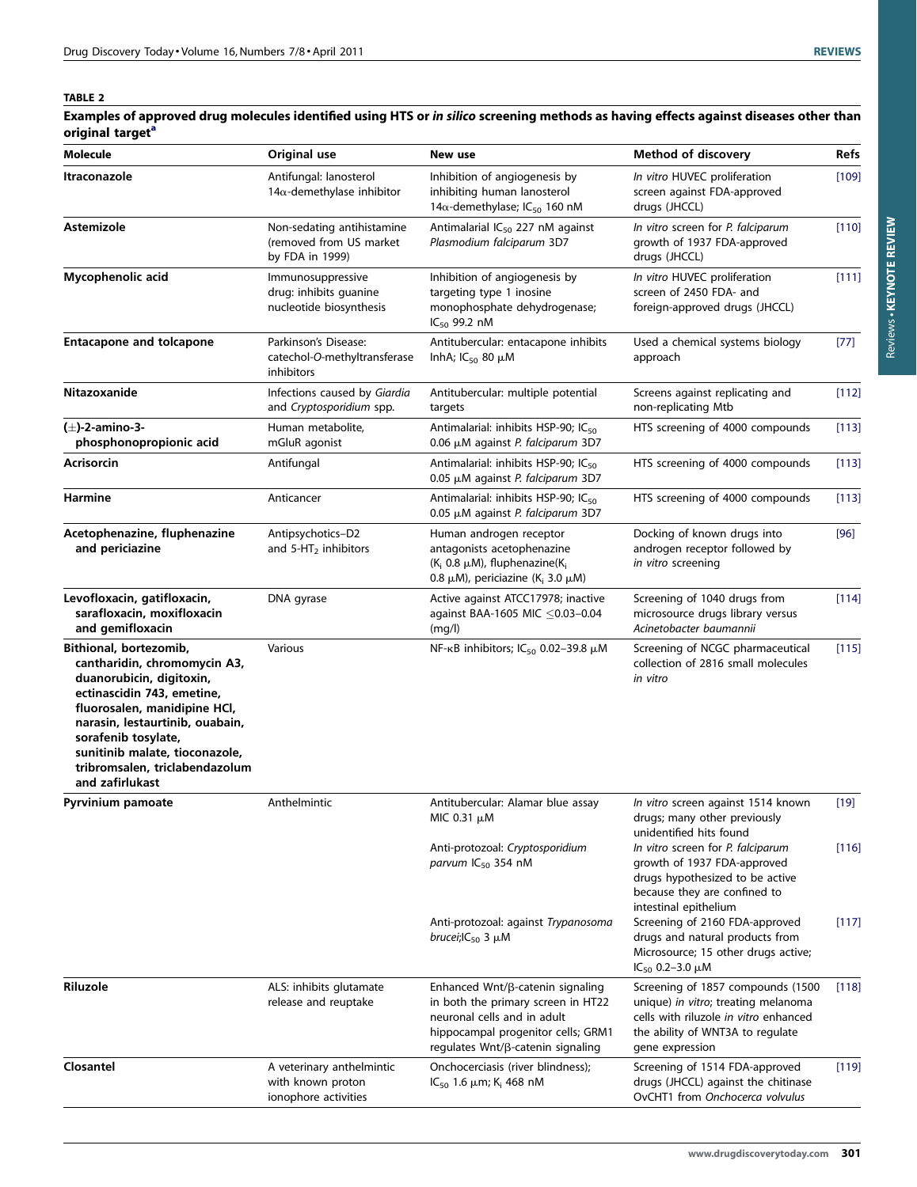Reviews -

Reviews . KEYNOTE REVIEW KEYNOTE REVIEW

#### <span id="page-3-0"></span>TABLE 2

Examples of approved drug molecules identified using HTS or in silico screening methods as having effects against diseases other than origin[a](#page-4-0)l target<sup>a</sup>

| <b>Molecule</b>                                                                                                                                                                                                                                                                                   | Original use                                                              | New use                                                                                                                                                                          | <b>Method of discovery</b>                                                                                                                                                                                                                                              | <b>Refs</b>     |
|---------------------------------------------------------------------------------------------------------------------------------------------------------------------------------------------------------------------------------------------------------------------------------------------------|---------------------------------------------------------------------------|----------------------------------------------------------------------------------------------------------------------------------------------------------------------------------|-------------------------------------------------------------------------------------------------------------------------------------------------------------------------------------------------------------------------------------------------------------------------|-----------------|
| <b>Itraconazole</b>                                                                                                                                                                                                                                                                               | Antifungal: lanosterol<br>$14\alpha$ -demethylase inhibitor               | Inhibition of angiogenesis by<br>inhibiting human lanosterol<br>14 $\alpha$ -demethylase; IC <sub>50</sub> 160 nM                                                                | In vitro HUVEC proliferation<br>screen against FDA-approved<br>drugs (JHCCL)                                                                                                                                                                                            | $[109]$         |
| <b>Astemizole</b>                                                                                                                                                                                                                                                                                 | Non-sedating antihistamine<br>(removed from US market)<br>by FDA in 1999) | Antimalarial IC <sub>50</sub> 227 nM against<br>Plasmodium falciparum 3D7                                                                                                        | In vitro screen for P. falciparum<br>growth of 1937 FDA-approved<br>drugs (JHCCL)                                                                                                                                                                                       | [110]           |
| Mycophenolic acid                                                                                                                                                                                                                                                                                 | Immunosuppressive<br>drug: inhibits guanine<br>nucleotide biosynthesis    | Inhibition of angiogenesis by<br>targeting type 1 inosine<br>monophosphate dehydrogenase;<br>$IC_{50}$ 99.2 nM                                                                   | In vitro HUVEC proliferation<br>screen of 2450 FDA- and<br>foreign-approved drugs (JHCCL)                                                                                                                                                                               | [111]           |
| <b>Entacapone and tolcapone</b>                                                                                                                                                                                                                                                                   | Parkinson's Disease:<br>catechol-O-methyltransferase<br>inhibitors        | Antitubercular: entacapone inhibits<br>InhA; $IC_{50}$ 80 $µM$                                                                                                                   | Used a chemical systems biology<br>approach                                                                                                                                                                                                                             | $[77]$          |
| Nitazoxanide                                                                                                                                                                                                                                                                                      | Infections caused by Giardia<br>and Cryptosporidium spp.                  | Antitubercular: multiple potential<br>targets                                                                                                                                    | Screens against replicating and<br>non-replicating Mtb                                                                                                                                                                                                                  | [112]           |
| (±)-2-amino-3-<br>phosphonopropionic acid                                                                                                                                                                                                                                                         | Human metabolite,<br>mGluR agonist                                        | Antimalarial: inhibits HSP-90; IC <sub>50</sub><br>0.06 µM against P. falciparum 3D7                                                                                             | HTS screening of 4000 compounds                                                                                                                                                                                                                                         | [113]           |
| <b>Acrisorcin</b>                                                                                                                                                                                                                                                                                 | Antifungal                                                                | Antimalarial: inhibits HSP-90; IC <sub>50</sub><br>0.05 µM against P. falciparum 3D7                                                                                             | HTS screening of 4000 compounds                                                                                                                                                                                                                                         | [113]           |
| <b>Harmine</b>                                                                                                                                                                                                                                                                                    | Anticancer                                                                | Antimalarial: inhibits HSP-90; IC <sub>50</sub><br>0.05 µM against P. falciparum 3D7                                                                                             | HTS screening of 4000 compounds                                                                                                                                                                                                                                         | [113]           |
| Acetophenazine, fluphenazine<br>and periciazine                                                                                                                                                                                                                                                   | Antipsychotics-D2<br>and $5-HT2$ inhibitors                               | Human androgen receptor<br>antagonists acetophenazine<br>$(K_i 0.8 \mu M)$ , fluphenazine( $K_i$<br>0.8 $\mu$ M), periciazine (K <sub>i</sub> 3.0 $\mu$ M)                       | Docking of known drugs into<br>androgen receptor followed by<br>in vitro screening                                                                                                                                                                                      | $[96]$          |
| Levofloxacin, gatifloxacin,<br>sarafloxacin, moxifloxacin<br>and gemifloxacin                                                                                                                                                                                                                     | DNA gyrase                                                                | Active against ATCC17978; inactive<br>against BAA-1605 MIC ≤0.03-0.04<br>(mg/l)                                                                                                  | Screening of 1040 drugs from<br>microsource drugs library versus<br>Acinetobacter baumannii                                                                                                                                                                             | [114]           |
| Bithional, bortezomib,<br>cantharidin, chromomycin A3,<br>duanorubicin, digitoxin,<br>ectinascidin 743, emetine,<br>fluorosalen, manidipine HCl,<br>narasin, lestaurtinib, ouabain,<br>sorafenib tosylate,<br>sunitinib malate, tioconazole,<br>tribromsalen, triclabendazolum<br>and zafirlukast | Various                                                                   | NF- $\kappa$ B inhibitors; IC <sub>50</sub> 0.02-39.8 $\mu$ M                                                                                                                    | Screening of NCGC pharmaceutical<br>collection of 2816 small molecules<br>in vitro                                                                                                                                                                                      | [115]           |
| Pyrvinium pamoate                                                                                                                                                                                                                                                                                 | Anthelmintic                                                              | Antitubercular: Alamar blue assay<br>MIC 0.31 μM<br>Anti-protozoal: Cryptosporidium                                                                                              | In vitro screen against 1514 known<br>drugs; many other previously<br>unidentified hits found<br>In vitro screen for P. falciparum                                                                                                                                      | $[19]$<br>[116] |
|                                                                                                                                                                                                                                                                                                   |                                                                           | parvum $IC_{50}$ 354 nM<br>Anti-protozoal: against Trypanosoma<br>brucei; $IC_{50}$ 3 $\mu$ M                                                                                    | growth of 1937 FDA-approved<br>drugs hypothesized to be active<br>because they are confined to<br>intestinal epithelium<br>Screening of 2160 FDA-approved<br>drugs and natural products from<br>Microsource; 15 other drugs active;<br>IC <sub>50</sub> 0.2-3.0 $\mu$ M | [117]           |
| Riluzole                                                                                                                                                                                                                                                                                          | ALS: inhibits glutamate<br>release and reuptake                           | Enhanced Wnt/ß-catenin signaling<br>in both the primary screen in HT22<br>neuronal cells and in adult<br>hippocampal progenitor cells; GRM1<br>regulates Wnt/ß-catenin signaling | Screening of 1857 compounds (1500<br>unique) in vitro; treating melanoma<br>cells with riluzole in vitro enhanced<br>the ability of WNT3A to regulate<br>gene expression                                                                                                | [118]           |
| Closantel                                                                                                                                                                                                                                                                                         | A veterinary anthelmintic<br>with known proton<br>ionophore activities    | Onchocerciasis (river blindness);<br>IC <sub>50</sub> 1.6 $\mu$ m; K <sub>i</sub> 468 nM                                                                                         | Screening of 1514 FDA-approved<br>drugs (JHCCL) against the chitinase<br>OvCHT1 from Onchocerca volvulus                                                                                                                                                                | [119]           |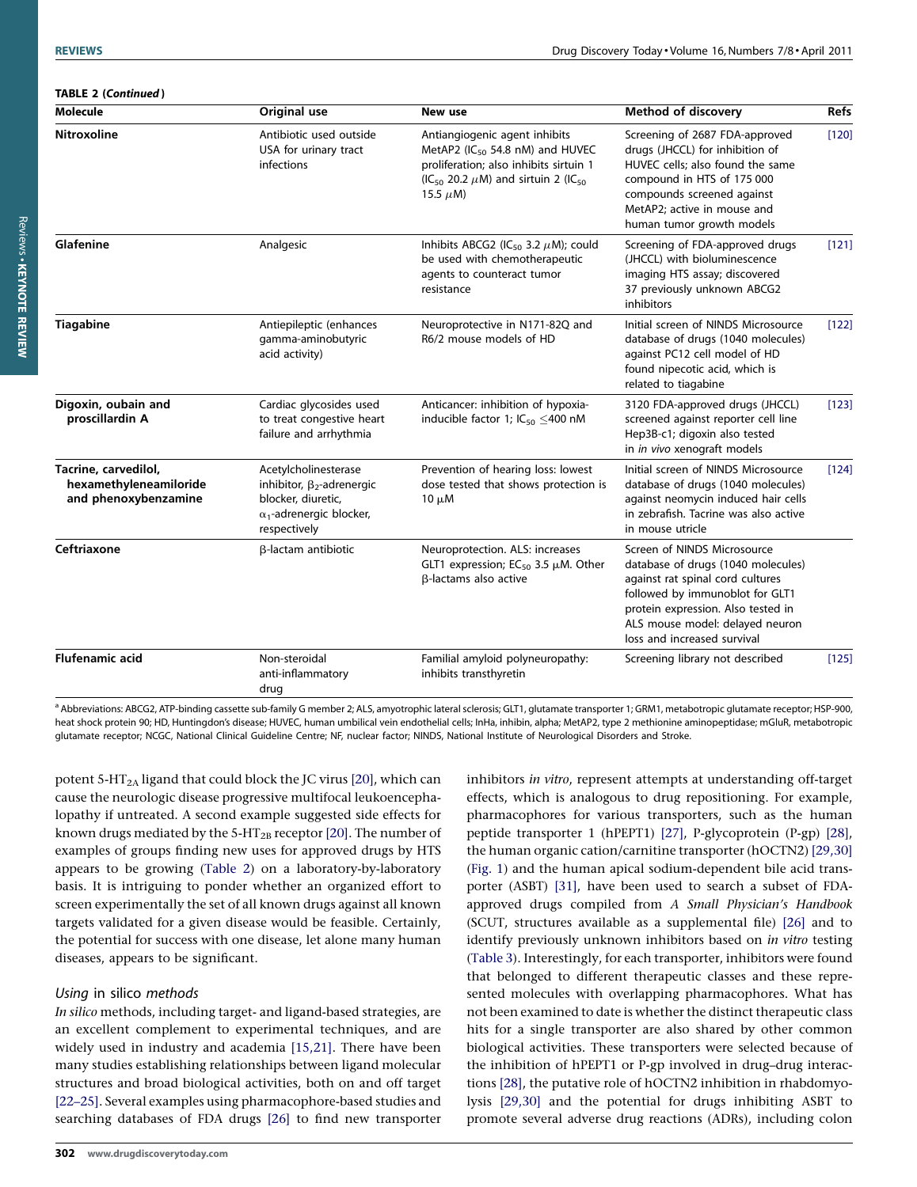<span id="page-4-0"></span>

| <b>TABLE 2 (Continued)</b> |
|----------------------------|
|----------------------------|

| <b>Molecule</b>                                                                                                                                                                                             | Original use                                                                   | New use                                                                                                                                                                                              | <b>Method of discovery</b>                                                                                                                                                                                                                       | <b>Refs</b> |
|-------------------------------------------------------------------------------------------------------------------------------------------------------------------------------------------------------------|--------------------------------------------------------------------------------|------------------------------------------------------------------------------------------------------------------------------------------------------------------------------------------------------|--------------------------------------------------------------------------------------------------------------------------------------------------------------------------------------------------------------------------------------------------|-------------|
| Nitroxoline                                                                                                                                                                                                 | Antibiotic used outside<br>USA for urinary tract<br>infections                 | Antiangiogenic agent inhibits<br>MetAP2 ( $IC_{50}$ 54.8 nM) and HUVEC<br>proliferation; also inhibits sirtuin 1<br>(IC <sub>50</sub> 20.2 $\mu$ M) and sirtuin 2 (IC <sub>50</sub><br>15.5 $\mu$ M) | Screening of 2687 FDA-approved<br>drugs (JHCCL) for inhibition of<br>HUVEC cells; also found the same<br>compound in HTS of 175 000<br>compounds screened against<br>MetAP2; active in mouse and<br>human tumor growth models                    | [120]       |
| Glafenine                                                                                                                                                                                                   | Analgesic                                                                      | Inhibits ABCG2 (IC <sub>50</sub> 3.2 $\mu$ M); could<br>be used with chemotherapeutic<br>agents to counteract tumor<br>resistance                                                                    | Screening of FDA-approved drugs<br>(JHCCL) with bioluminescence<br>imaging HTS assay; discovered<br>37 previously unknown ABCG2<br><i>inhibitors</i>                                                                                             | [121]       |
| <b>Tiagabine</b>                                                                                                                                                                                            | Antiepileptic (enhances<br>gamma-aminobutyric<br>acid activity)                | Neuroprotective in N171-82Q and<br>R6/2 mouse models of HD                                                                                                                                           | Initial screen of NINDS Microsource<br>database of drugs (1040 molecules)<br>against PC12 cell model of HD<br>found nipecotic acid, which is<br>related to tiagabine                                                                             | [122]       |
| Digoxin, oubain and<br>proscillardin A                                                                                                                                                                      | Cardiac glycosides used<br>to treat congestive heart<br>failure and arrhythmia | Anticancer: inhibition of hypoxia-<br>inducible factor 1; $IC_{50}$ <400 nM                                                                                                                          | 3120 FDA-approved drugs (JHCCL)<br>screened against reporter cell line<br>Hep3B-c1; digoxin also tested<br>in in vivo xenograft models                                                                                                           | [123]       |
| Tacrine, carvedilol,<br>Acetylcholinesterase<br>hexamethyleneamiloride<br>inhibitor, $\beta_2$ -adrenergic<br>and phenoxybenzamine<br>blocker, diuretic,<br>$\alpha_1$ -adrenergic blocker,<br>respectively |                                                                                | Prevention of hearing loss: lowest<br>dose tested that shows protection is<br>$10 \mu M$                                                                                                             | Initial screen of NINDS Microsource<br>database of drugs (1040 molecules)<br>against neomycin induced hair cells<br>in zebrafish. Tacrine was also active<br>in mouse utricle                                                                    | [124]       |
| Ceftriaxone                                                                                                                                                                                                 | β-lactam antibiotic                                                            | Neuroprotection. ALS: increases<br>GLT1 expression; $EC_{50}$ 3.5 $\mu$ M. Other<br>β-lactams also active                                                                                            | Screen of NINDS Microsource<br>database of drugs (1040 molecules)<br>against rat spinal cord cultures<br>followed by immunoblot for GLT1<br>protein expression. Also tested in<br>ALS mouse model: delayed neuron<br>loss and increased survival |             |
| <b>Flufenamic acid</b>                                                                                                                                                                                      | Non-steroidal<br>anti-inflammatory<br>drug                                     | Familial amyloid polyneuropathy:<br>inhibits transthyretin                                                                                                                                           | Screening library not described                                                                                                                                                                                                                  | [125]       |

<sup>a</sup> Abbreviations: ABCG2, ATP-binding cassette sub-family G member 2; ALS, amyotrophic lateral sclerosis; GLT1, glutamate transporter 1; GRM1, metabotropic glutamate receptor; HSP-900, heat shock protein 90; HD, Huntingdon's disease; HUVEC, human umbilical vein endothelial cells; InHa, inhibin, alpha; MetAP2, type 2 methionine aminopeptidase; mGluR, metabotropic glutamate receptor; NCGC, National Clinical Guideline Centre; NF, nuclear factor; NINDS, National Institute of Neurological Disorders and Stroke.

potent 5-HT<sub>2A</sub> ligand that could block the JC virus [\[20\],](#page-10-0) which can cause the neurologic disease progressive multifocal leukoencephalopathy if untreated. A second example suggested side effects for known drugs mediated by the 5-HT<sub>2B</sub> receptor [\[20\].](#page-10-0) The number of examples of groups finding new uses for approved drugs by HTS appears to be growing ([Table 2](#page-3-0)) on a laboratory-by-laboratory basis. It is intriguing to ponder whether an organized effort to screen experimentally the set of all known drugs against all known targets validated for a given disease would be feasible. Certainly, the potential for success with one disease, let alone many human diseases, appears to be significant.

#### Using in silico methods

In silico methods, including target- and ligand-based strategies, are an excellent complement to experimental techniques, and are widely used in industry and academia [\[15,21\]](#page-10-0). There have been many studies establishing relationships between ligand molecular structures and broad biological activities, both on and off target [\[22–25\]](#page-10-0). Several examples using pharmacophore-based studies and searching databases of FDA drugs [\[26\]](#page-10-0) to find new transporter

inhibitors in vitro, represent attempts at understanding off-target effects, which is analogous to drug repositioning. For example, pharmacophores for various transporters, such as the human peptide transporter 1 (hPEPT1) [\[27\],](#page-10-0) P-glycoprotein (P-gp) [\[28\]](#page-10-0), the human organic cation/carnitine transporter (hOCTN2) [\[29,30\]](#page-10-0) ([Fig. 1\)](#page-5-0) and the human apical sodium-dependent bile acid transporter (ASBT) [\[31\],](#page-10-0) have been used to search a subset of FDAapproved drugs compiled from A Small Physician's Handbook (SCUT, structures available as a supplemental file) [\[26\]](#page-10-0) and to identify previously unknown inhibitors based on in vitro testing ([Table 3\)](#page-5-0). Interestingly, for each transporter, inhibitors were found that belonged to different therapeutic classes and these represented molecules with overlapping pharmacophores. What has not been examined to date is whether the distinct therapeutic class hits for a single transporter are also shared by other common biological activities. These transporters were selected because of the inhibition of hPEPT1 or P-gp involved in drug–drug interactions [\[28\]](#page-10-0), the putative role of hOCTN2 inhibition in rhabdomyolysis [\[29,30\]](#page-10-0) and the potential for drugs inhibiting ASBT to promote several adverse drug reactions (ADRs), including colon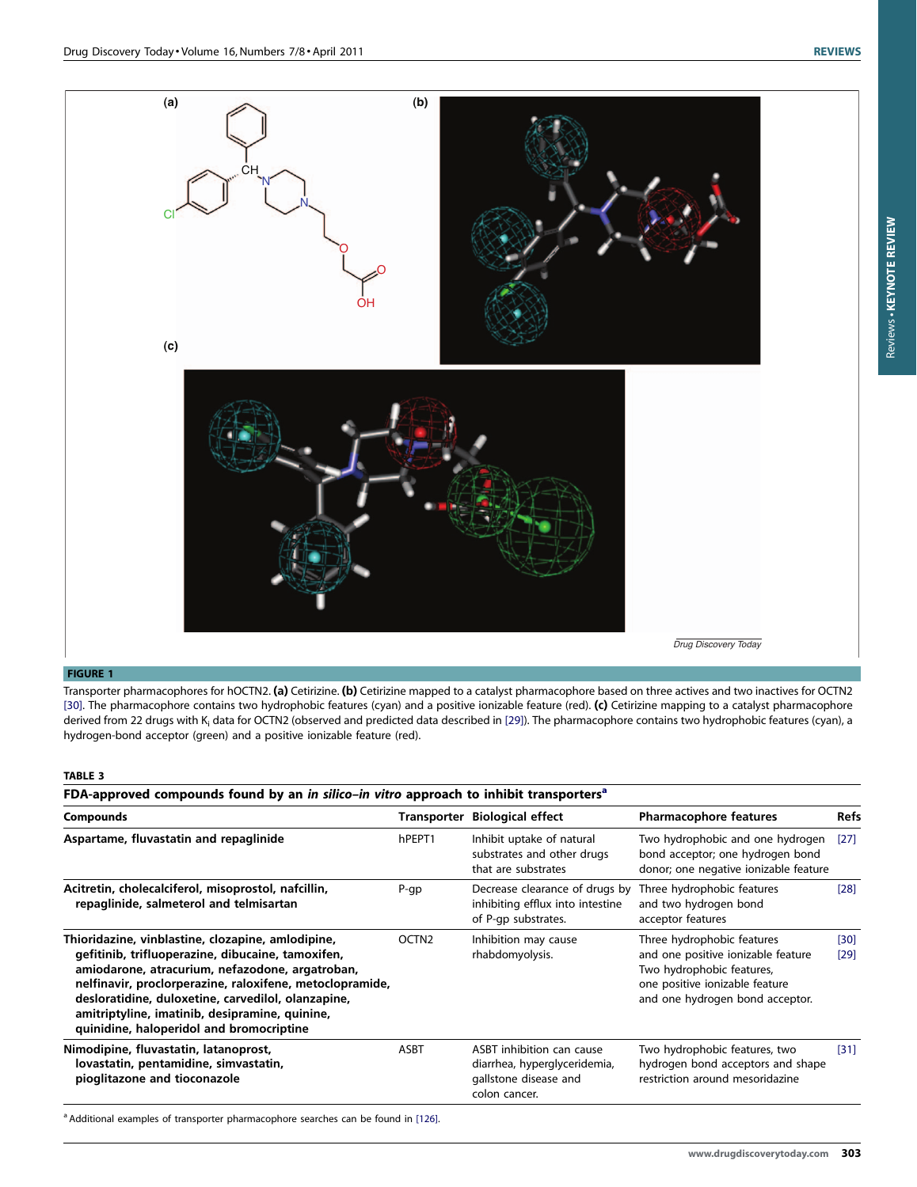Reviews -

Reviews . KEYNOTE REVIEW KEYNOTE REVIEW

<span id="page-5-0"></span>

#### FIGURE 1

Transporter pharmacophores for hOCTN2. (a) Cetirizine. (b) Cetirizine mapped to a catalyst pharmacophore based on three actives and two inactives for OCTN2 [\[30\]](#page-10-0). The pharmacophore contains two hydrophobic features (cyan) and a positive ionizable feature (red). (c) Cetirizine mapping to a catalyst pharmacophore derived from 22 drugs with K<sub>i</sub> data for OCTN2 (observed and predicted data described in [\[29\]](#page-10-0)). The pharmacophore contains two hydrophobic features (cyan), a hydrogen-bond acceptor (green) and a positive ionizable feature (red).

#### TABLE 3

FDA-approved compounds found by an in silico–in vitro approach to inhibit transporters<sup>a</sup>

| <b>Compounds</b>                                                                                                                                                                                                                                                                                                                                                          |                   | Transporter Biological effect                                                                       | <b>Pharmacophore features</b>                                                                                                                                      | Refs         |
|---------------------------------------------------------------------------------------------------------------------------------------------------------------------------------------------------------------------------------------------------------------------------------------------------------------------------------------------------------------------------|-------------------|-----------------------------------------------------------------------------------------------------|--------------------------------------------------------------------------------------------------------------------------------------------------------------------|--------------|
| Aspartame, fluvastatin and repaglinide                                                                                                                                                                                                                                                                                                                                    | hPEPT1            | Inhibit uptake of natural<br>substrates and other drugs<br>that are substrates                      | Two hydrophobic and one hydrogen<br>bond acceptor; one hydrogen bond<br>donor; one negative ionizable feature                                                      | [27]         |
| Acitretin, cholecalciferol, misoprostol, nafcillin,<br>repaglinide, salmeterol and telmisartan                                                                                                                                                                                                                                                                            | $P$ -qp           | Decrease clearance of drugs by<br>inhibiting efflux into intestine<br>of P-qp substrates.           | Three hydrophobic features<br>and two hydrogen bond<br>acceptor features                                                                                           | [28]         |
| Thioridazine, vinblastine, clozapine, amlodipine,<br>gefitinib, trifluoperazine, dibucaine, tamoxifen,<br>amiodarone, atracurium, nefazodone, argatroban,<br>nelfinavir, proclorperazine, raloxifene, metoclopramide,<br>desloratidine, duloxetine, carvedilol, olanzapine,<br>amitriptyline, imatinib, desipramine, quinine,<br>quinidine, haloperidol and bromocriptine | OCTN <sub>2</sub> | Inhibition may cause<br>rhabdomyolysis.                                                             | Three hydrophobic features<br>and one positive ionizable feature<br>Two hydrophobic features,<br>one positive ionizable feature<br>and one hydrogen bond acceptor. | [30]<br>[29] |
| Nimodipine, fluvastatin, latanoprost,<br>lovastatin, pentamidine, simvastatin,<br>pioglitazone and tioconazole                                                                                                                                                                                                                                                            | <b>ASBT</b>       | ASBT inhibition can cause<br>diarrhea, hyperglyceridemia,<br>gallstone disease and<br>colon cancer. | Two hydrophobic features, two<br>hydrogen bond acceptors and shape<br>restriction around mesoridazine                                                              | $[31]$       |

<sup>a</sup> Additional examples of transporter pharmacophore searches can be found in [\[126\].](#page-12-0)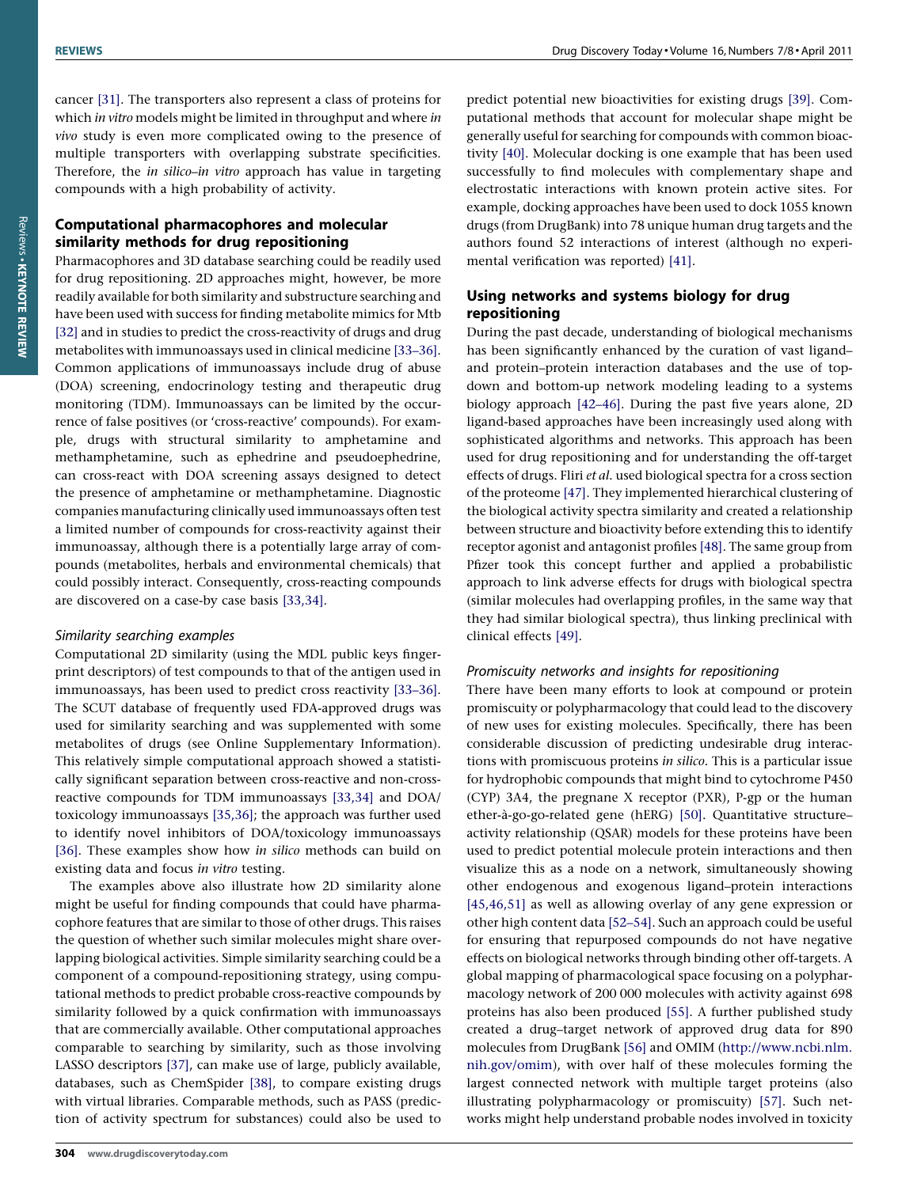cancer [\[31\].](#page-10-0) The transporters also represent a class of proteins for which in vitro models might be limited in throughput and where in vivo study is even more complicated owing to the presence of multiple transporters with overlapping substrate specificities. Therefore, the in silico–in vitro approach has value in targeting compounds with a high probability of activity.

## Computational pharmacophores and molecular similarity methods for drug repositioning

Pharmacophores and 3D database searching could be readily used for drug repositioning. 2D approaches might, however, be more readily available for both similarity and substructure searching and have been used with success for finding metabolite mimics for Mtb [\[32\]](#page-10-0) and in studies to predict the cross-reactivity of drugs and drug metabolites with immunoassays used in clinical medicine [\[33–36\]](#page-10-0). Common applications of immunoassays include drug of abuse (DOA) screening, endocrinology testing and therapeutic drug monitoring (TDM). Immunoassays can be limited by the occurrence of false positives (or 'cross-reactive' compounds). For example, drugs with structural similarity to amphetamine and methamphetamine, such as ephedrine and pseudoephedrine, can cross-react with DOA screening assays designed to detect the presence of amphetamine or methamphetamine. Diagnostic companies manufacturing clinically used immunoassays often test a limited number of compounds for cross-reactivity against their immunoassay, although there is a potentially large array of compounds (metabolites, herbals and environmental chemicals) that could possibly interact. Consequently, cross-reacting compounds are discovered on a case-by case basis [\[33,34\]](#page-10-0).

#### Similarity searching examples

Computational 2D similarity (using the MDL public keys fingerprint descriptors) of test compounds to that of the antigen used in immunoassays, has been used to predict cross reactivity [\[33–36\]](#page-10-0). The SCUT database of frequently used FDA-approved drugs was used for similarity searching and was supplemented with some metabolites of drugs (see Online Supplementary Information). This relatively simple computational approach showed a statistically significant separation between cross-reactive and non-crossreactive compounds for TDM immunoassays [\[33,34\]](#page-10-0) and DOA/ toxicology immunoassays [\[35,36\];](#page-10-0) the approach was further used to identify novel inhibitors of DOA/toxicology immunoassays [\[36\]](#page-10-0). These examples show how in silico methods can build on existing data and focus in vitro testing.

The examples above also illustrate how 2D similarity alone might be useful for finding compounds that could have pharmacophore features that are similar to those of other drugs. This raises the question of whether such similar molecules might share overlapping biological activities. Simple similarity searching could be a component of a compound-repositioning strategy, using computational methods to predict probable cross-reactive compounds by similarity followed by a quick confirmation with immunoassays that are commercially available. Other computational approaches comparable to searching by similarity, such as those involving LASSO descriptors [\[37\],](#page-10-0) can make use of large, publicly available, databases, such as ChemSpider [\[38\]](#page-10-0), to compare existing drugs with virtual libraries. Comparable methods, such as PASS (prediction of activity spectrum for substances) could also be used to

predict potential new bioactivities for existing drugs [\[39\].](#page-10-0) Computational methods that account for molecular shape might be generally useful for searching for compounds with common bioactivity [\[40\].](#page-10-0) Molecular docking is one example that has been used successfully to find molecules with complementary shape and electrostatic interactions with known protein active sites. For example, docking approaches have been used to dock 1055 known drugs (from DrugBank) into 78 unique human drug targets and the authors found 52 interactions of interest (although no experimental verification was reported) [\[41\]](#page-10-0).

### Using networks and systems biology for drug repositioning

During the past decade, understanding of biological mechanisms has been significantly enhanced by the curation of vast ligand– and protein–protein interaction databases and the use of topdown and bottom-up network modeling leading to a systems biology approach [\[42–46\].](#page-10-0) During the past five years alone, 2D ligand-based approaches have been increasingly used along with sophisticated algorithms and networks. This approach has been used for drug repositioning and for understanding the off-target effects of drugs. Fliri et al. used biological spectra for a cross section of the proteome [\[47\].](#page-11-0) They implemented hierarchical clustering of the biological activity spectra similarity and created a relationship between structure and bioactivity before extending this to identify receptor agonist and antagonist profiles [\[48\].](#page-11-0) The same group from Pfizer took this concept further and applied a probabilistic approach to link adverse effects for drugs with biological spectra (similar molecules had overlapping profiles, in the same way that they had similar biological spectra), thus linking preclinical with clinical effects [\[49\].](#page-11-0)

#### Promiscuity networks and insights for repositioning

There have been many efforts to look at compound or protein promiscuity or polypharmacology that could lead to the discovery of new uses for existing molecules. Specifically, there has been considerable discussion of predicting undesirable drug interactions with promiscuous proteins in silico. This is a particular issue for hydrophobic compounds that might bind to cytochrome P450 (CYP) 3A4, the pregnane X receptor (PXR), P-gp or the human ether-à-go-go-related gene (hERG) [\[50\]](#page-11-0). Quantitative structureactivity relationship (QSAR) models for these proteins have been used to predict potential molecule protein interactions and then visualize this as a node on a network, simultaneously showing other endogenous and exogenous ligand–protein interactions [\[45,46,51\]](#page-11-0) as well as allowing overlay of any gene expression or other high content data [\[52–54\].](#page-11-0) Such an approach could be useful for ensuring that repurposed compounds do not have negative effects on biological networks through binding other off-targets. A global mapping of pharmacological space focusing on a polypharmacology network of 200 000 molecules with activity against 698 proteins has also been produced [\[55\].](#page-11-0) A further published study created a drug–target network of approved drug data for 890 molecules from DrugBank [\[56\]](#page-11-0) and OMIM ([http://www.ncbi.nlm.](http://www.ncbi.nlm.nih.gov/omim) [nih.gov/omim](http://www.ncbi.nlm.nih.gov/omim)), with over half of these molecules forming the largest connected network with multiple target proteins (also illustrating polypharmacology or promiscuity) [\[57\].](#page-11-0) Such networks might help understand probable nodes involved in toxicity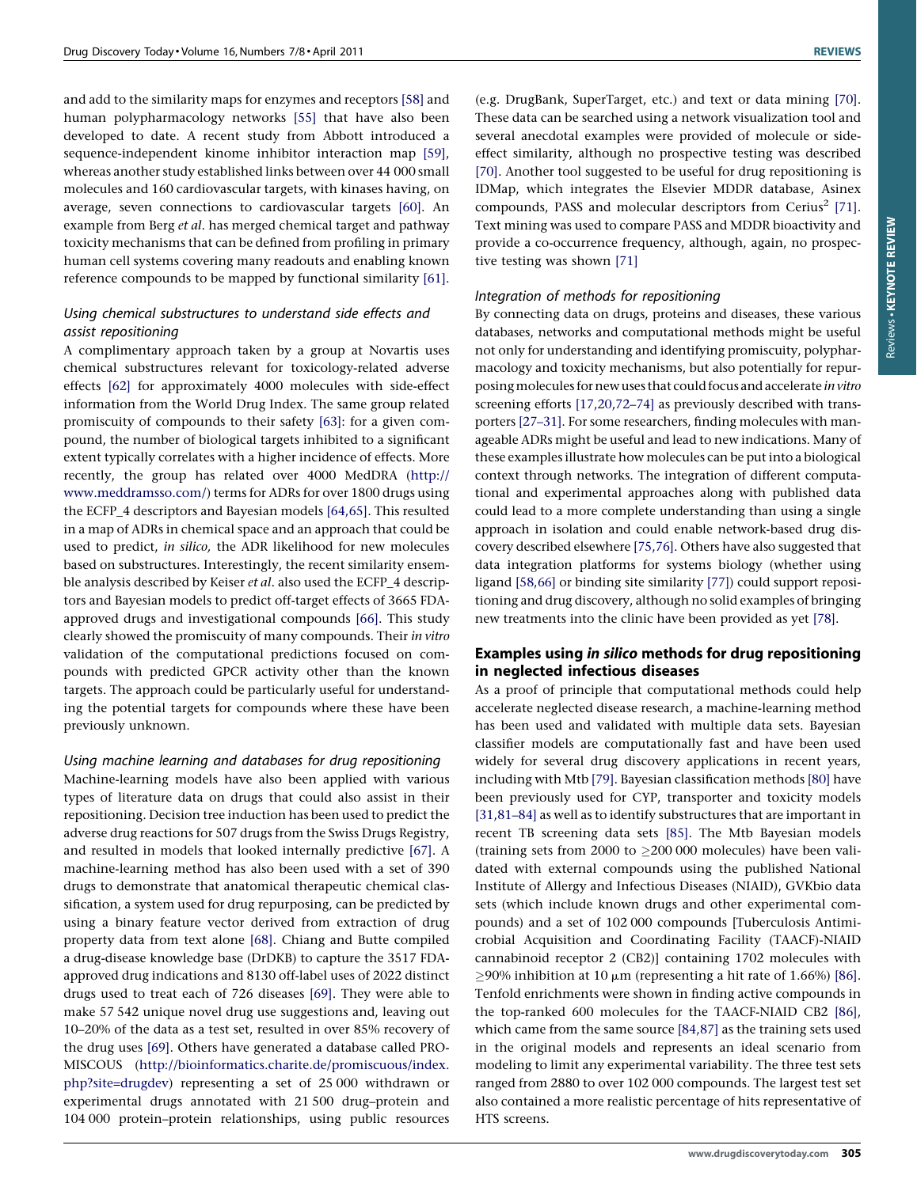and add to the similarity maps for enzymes and receptors [\[58\]](#page-11-0) and human polypharmacology networks [\[55\]](#page-11-0) that have also been developed to date. A recent study from Abbott introduced a sequence-independent kinome inhibitor interaction map [\[59\],](#page-11-0) whereas another study established links between over 44 000 small molecules and 160 cardiovascular targets, with kinases having, on average, seven connections to cardiovascular targets [\[60\].](#page-11-0) An example from Berg et al. has merged chemical target and pathway toxicity mechanisms that can be defined from profiling in primary human cell systems covering many readouts and enabling known reference compounds to be mapped by functional similarity [\[61\].](#page-11-0)

#### Using chemical substructures to understand side effects and assist repositioning

A complimentary approach taken by a group at Novartis uses chemical substructures relevant for toxicology-related adverse effects [\[62\]](#page-11-0) for approximately 4000 molecules with side-effect information from the World Drug Index. The same group related promiscuity of compounds to their safety [\[63\]](#page-11-0): for a given compound, the number of biological targets inhibited to a significant extent typically correlates with a higher incidence of effects. More recently, the group has related over 4000 MedDRA [\(http://](http://www.meddramsso.com/) [www.meddramsso.com/](http://www.meddramsso.com/)) terms for ADRs for over 1800 drugs using the ECFP\_4 descriptors and Bayesian models [\[64,65\].](#page-11-0) This resulted in a map of ADRs in chemical space and an approach that could be used to predict, in silico, the ADR likelihood for new molecules based on substructures. Interestingly, the recent similarity ensemble analysis described by Keiser et al. also used the ECFP\_4 descriptors and Bayesian models to predict off-target effects of 3665 FDAapproved drugs and investigational compounds [\[66\]](#page-11-0). This study clearly showed the promiscuity of many compounds. Their in vitro validation of the computational predictions focused on compounds with predicted GPCR activity other than the known targets. The approach could be particularly useful for understanding the potential targets for compounds where these have been previously unknown.

#### Using machine learning and databases for drug repositioning

Machine-learning models have also been applied with various types of literature data on drugs that could also assist in their repositioning. Decision tree induction has been used to predict the adverse drug reactions for 507 drugs from the Swiss Drugs Registry, and resulted in models that looked internally predictive [\[67\].](#page-11-0) A machine-learning method has also been used with a set of 390 drugs to demonstrate that anatomical therapeutic chemical classification, a system used for drug repurposing, can be predicted by using a binary feature vector derived from extraction of drug property data from text alone [\[68\]](#page-11-0). Chiang and Butte compiled a drug-disease knowledge base (DrDKB) to capture the 3517 FDAapproved drug indications and 8130 off-label uses of 2022 distinct drugs used to treat each of 726 diseases [\[69\]](#page-11-0). They were able to make 57 542 unique novel drug use suggestions and, leaving out 10–20% of the data as a test set, resulted in over 85% recovery of the drug uses [\[69\].](#page-11-0) Others have generated a database called PRO-MISCOUS [\(http://bioinformatics.charite.de/promiscuous/index.](http://bioinformatics.charite.de/promiscuous/index.php%3Fsite=drugdev) [php?site=drugdev\)](http://bioinformatics.charite.de/promiscuous/index.php%3Fsite=drugdev) representing a set of 25 000 withdrawn or experimental drugs annotated with 21 500 drug–protein and 104 000 protein–protein relationships, using public resources

(e.g. DrugBank, SuperTarget, etc.) and text or data mining [\[70\].](#page-11-0) These data can be searched using a network visualization tool and several anecdotal examples were provided of molecule or sideeffect similarity, although no prospective testing was described [\[70\].](#page-11-0) Another tool suggested to be useful for drug repositioning is IDMap, which integrates the Elsevier MDDR database, Asinex compounds, PASS and molecular descriptors from Cerius<sup>2</sup> [\[71\].](#page-11-0) Text mining was used to compare PASS and MDDR bioactivity and provide a co-occurrence frequency, although, again, no prospective testing was shown [\[71\]](#page-11-0)

#### Integration of methods for repositioning

By connecting data on drugs, proteins and diseases, these various databases, networks and computational methods might be useful not only for understanding and identifying promiscuity, polypharmacology and toxicity mechanisms, but also potentially for repurposingmolecules for new uses that could focus and accelerate in vitro screening efforts [\[17,20,72–74\]](#page-10-0) as previously described with transporters [\[27–31\]](#page-10-0). For some researchers, finding molecules with manageable ADRs might be useful and lead to new indications. Many of these examples illustrate how molecules can be put into a biological context through networks. The integration of different computational and experimental approaches along with published data could lead to a more complete understanding than using a single approach in isolation and could enable network-based drug discovery described elsewhere [\[75,76\]](#page-11-0). Others have also suggested that data integration platforms for systems biology (whether using ligand [\[58,66\]](#page-11-0) or binding site similarity [\[77\]](#page-11-0)) could support repositioning and drug discovery, although no solid examples of bringing new treatments into the clinic have been provided as yet [\[78\]](#page-11-0).

### Examples using in silico methods for drug repositioning in neglected infectious diseases

As a proof of principle that computational methods could help accelerate neglected disease research, a machine-learning method has been used and validated with multiple data sets. Bayesian classifier models are computationally fast and have been used widely for several drug discovery applications in recent years, including with Mtb [\[79\]](#page-11-0). Bayesian classification methods [\[80\]](#page-11-0) have been previously used for CYP, transporter and toxicity models [\[31,81–84\]](#page-10-0) as well as to identify substructures that are important in recent TB screening data sets [\[85\]](#page-11-0). The Mtb Bayesian models (training sets from 2000 to  $\geq$  200 000 molecules) have been validated with external compounds using the published National Institute of Allergy and Infectious Diseases (NIAID), GVKbio data sets (which include known drugs and other experimental compounds) and a set of 102 000 compounds [Tuberculosis Antimicrobial Acquisition and Coordinating Facility (TAACF)-NIAID cannabinoid receptor 2 (CB2)] containing 1702 molecules with  $\geq$ 90% inhibition at 10  $\mu$ m (representing a hit rate of 1.66%) [\[86\].](#page-11-0) Tenfold enrichments were shown in finding active compounds in the top-ranked 600 molecules for the TAACF-NIAID CB2 [\[86\],](#page-11-0) which came from the same source [\[84,87\]](#page-11-0) as the training sets used in the original models and represents an ideal scenario from modeling to limit any experimental variability. The three test sets ranged from 2880 to over 102 000 compounds. The largest test set also contained a more realistic percentage of hits representative of HTS screens.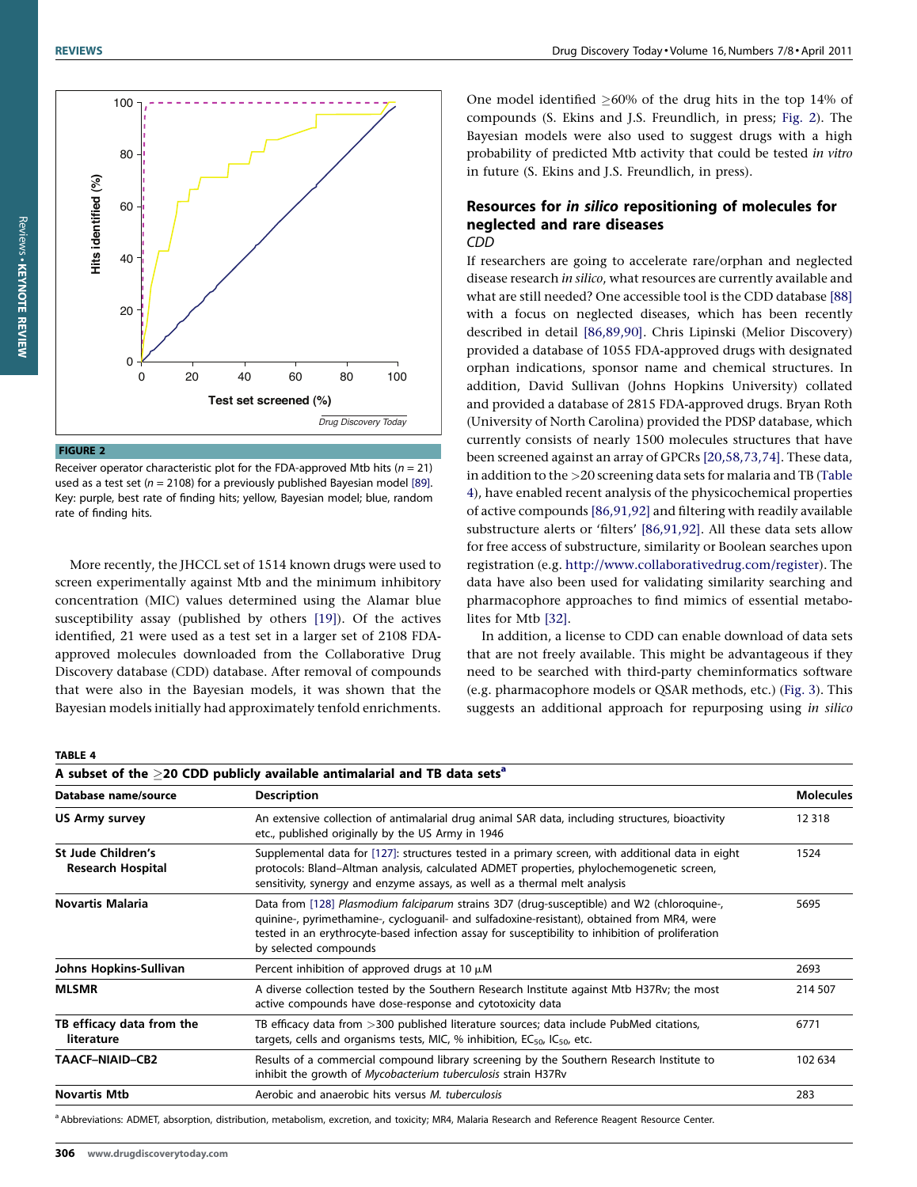

More recently, the JHCCL set of 1514 known drugs were used to screen experimentally against Mtb and the minimum inhibitory concentration (MIC) values determined using the Alamar blue susceptibility assay (published by others [\[19\]](#page-10-0)). Of the actives identified, 21 were used as a test set in a larger set of 2108 FDAapproved molecules downloaded from the Collaborative Drug Discovery database (CDD) database. After removal of compounds that were also in the Bayesian models, it was shown that the Bayesian models initially had approximately tenfold enrichments.

One model identified  $\geq$ 60% of the drug hits in the top 14% of compounds (S. Ekins and J.S. Freundlich, in press; Fig. 2). The Bayesian models were also used to suggest drugs with a high probability of predicted Mtb activity that could be tested in vitro in future (S. Ekins and J.S. Freundlich, in press).

#### Resources for in silico repositioning of molecules for neglected and rare diseases CDD

If researchers are going to accelerate rare/orphan and neglected disease research in silico, what resources are currently available and what are still needed? One accessible tool is the CDD database [\[88\]](#page-11-0) with a focus on neglected diseases, which has been recently described in detail [\[86,89,90\].](#page-11-0) Chris Lipinski (Melior Discovery) provided a database of 1055 FDA-approved drugs with designated orphan indications, sponsor name and chemical structures. In addition, David Sullivan (Johns Hopkins University) collated and provided a database of 2815 FDA-approved drugs. Bryan Roth (University of North Carolina) provided the PDSP database, which currently consists of nearly 1500 molecules structures that have been screened against an array of GPCRs [\[20,58,73,74\].](#page-10-0) These data, in addition to the >20 screening data sets for malaria and TB (Table 4), have enabled recent analysis of the physicochemical properties of active compounds [\[86,91,92\]](#page-11-0) and filtering with readily available substructure alerts or 'filters' [\[86,91,92\]](#page-11-0). All these data sets allow for free access of substructure, similarity or Boolean searches upon registration (e.g. <http://www.collaborativedrug.com/register>). The data have also been used for validating similarity searching and pharmacophore approaches to find mimics of essential metabolites for Mtb [\[32\]](#page-10-0).

In addition, a license to CDD can enable download of data sets that are not freely available. This might be advantageous if they need to be searched with third-party cheminformatics software (e.g. pharmacophore models or QSAR methods, etc.) ([Fig. 3](#page-9-0)). This suggests an additional approach for repurposing using in silico

#### TABLE 4

| A subset of the $\geq$ 20 CDD publicly available antimalarial and TB data sets <sup>a</sup> |                                                                                                                                                                                                                                                                                                                       |                  |  |  |
|---------------------------------------------------------------------------------------------|-----------------------------------------------------------------------------------------------------------------------------------------------------------------------------------------------------------------------------------------------------------------------------------------------------------------------|------------------|--|--|
| Database name/source                                                                        | <b>Description</b>                                                                                                                                                                                                                                                                                                    | <b>Molecules</b> |  |  |
| <b>US Army survey</b>                                                                       | An extensive collection of antimalarial drug animal SAR data, including structures, bioactivity<br>etc., published originally by the US Army in 1946                                                                                                                                                                  | 12 3 18          |  |  |
| St Jude Children's<br><b>Research Hospital</b>                                              | Supplemental data for [127]: structures tested in a primary screen, with additional data in eight<br>protocols: Bland-Altman analysis, calculated ADMET properties, phylochemogenetic screen,<br>sensitivity, synergy and enzyme assays, as well as a thermal melt analysis                                           |                  |  |  |
| <b>Novartis Malaria</b>                                                                     | Data from [128] Plasmodium falciparum strains 3D7 (drug-susceptible) and W2 (chloroquine-,<br>quinine-, pyrimethamine-, cycloquanil- and sulfadoxine-resistant), obtained from MR4, were<br>tested in an erythrocyte-based infection assay for susceptibility to inhibition of proliferation<br>by selected compounds | 5695             |  |  |
| Johns Hopkins-Sullivan                                                                      | Percent inhibition of approved drugs at 10 $\mu$ M                                                                                                                                                                                                                                                                    | 2693             |  |  |
| <b>MLSMR</b>                                                                                | A diverse collection tested by the Southern Research Institute against Mtb H37Ry; the most<br>active compounds have dose-response and cytotoxicity data                                                                                                                                                               |                  |  |  |
| TB efficacy data from the<br>literature                                                     | TB efficacy data from >300 published literature sources; data include PubMed citations,<br>targets, cells and organisms tests, MIC, % inhibition, $EC_{50}$ , $IC_{50}$ , etc.                                                                                                                                        |                  |  |  |
| TAACF-NIAID-CB2                                                                             | Results of a commercial compound library screening by the Southern Research Institute to<br>inhibit the growth of Mycobacterium tuberculosis strain H37Rv                                                                                                                                                             |                  |  |  |
| <b>Novartis Mtb</b>                                                                         | Aerobic and anaerobic hits versus M. tuberculosis                                                                                                                                                                                                                                                                     | 283              |  |  |
|                                                                                             |                                                                                                                                                                                                                                                                                                                       |                  |  |  |

a Abbreviations: ADMET, absorption, distribution, metabolism, excretion, and toxicity; MR4, Malaria Research and Reference Reagent Resource Center.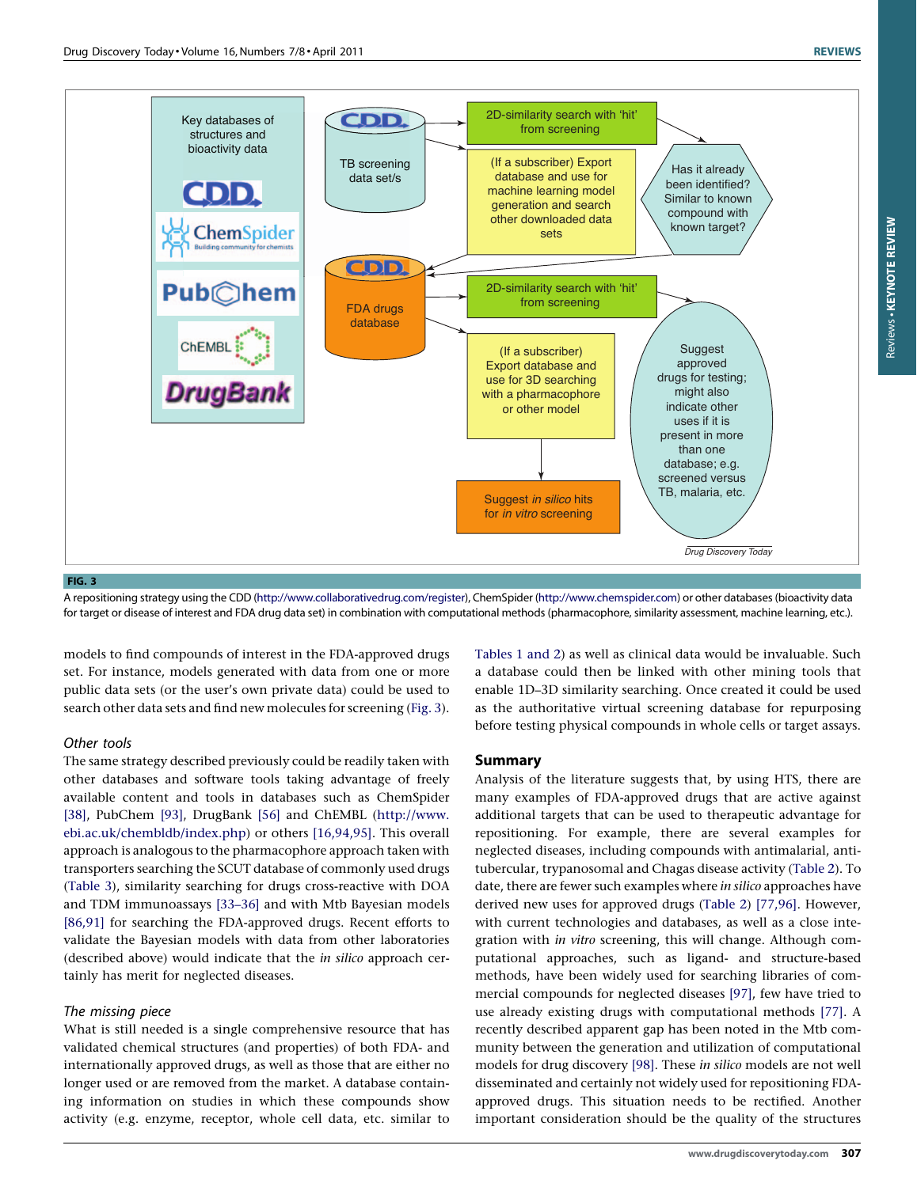<span id="page-9-0"></span>

A repositioning strategy using the CDD ([http://www.collaborativedrug.com/register\)](http://rarediseases.info.nih.gov/Resources/Rare_Diseases_Information.aspx), ChemSpider ([http://www.chemspider.com](http://www.chemspider.com/)) or other databases (bioactivity data for target or disease of interest and FDA drug data set) in combination with computational methods (pharmacophore, similarity assessment, machine learning, etc.).

models to find compounds of interest in the FDA-approved drugs set. For instance, models generated with data from one or more public data sets (or the user's own private data) could be used to search other data sets and find new molecules for screening (Fig. 3).

#### Other tools

The same strategy described previously could be readily taken with other databases and software tools taking advantage of freely available content and tools in databases such as ChemSpider [\[38\],](#page-10-0) PubChem [\[93\]](#page-11-0), DrugBank [\[56\]](#page-11-0) and ChEMBL ([http://www.](http://www.ebi.ac.uk/chembldb/index.php) [ebi.ac.uk/chembldb/index.php](http://www.ebi.ac.uk/chembldb/index.php)) or others [\[16,94,95\].](#page-10-0) This overall approach is analogous to the pharmacophore approach taken with transporters searching the SCUT database of commonly used drugs ([Table 3\)](#page-5-0), similarity searching for drugs cross-reactive with DOA and TDM immunoassays [\[33–36\]](#page-10-0) and with Mtb Bayesian models [\[86,91\]](#page-11-0) for searching the FDA-approved drugs. Recent efforts to validate the Bayesian models with data from other laboratories (described above) would indicate that the in silico approach certainly has merit for neglected diseases.

#### The missing piece

What is still needed is a single comprehensive resource that has validated chemical structures (and properties) of both FDA- and internationally approved drugs, as well as those that are either no longer used or are removed from the market. A database containing information on studies in which these compounds show activity (e.g. enzyme, receptor, whole cell data, etc. similar to [Tables 1 and 2\)](#page-2-0) as well as clinical data would be invaluable. Such a database could then be linked with other mining tools that enable 1D–3D similarity searching. Once created it could be used as the authoritative virtual screening database for repurposing before testing physical compounds in whole cells or target assays.

#### Summary

Analysis of the literature suggests that, by using HTS, there are many examples of FDA-approved drugs that are active against additional targets that can be used to therapeutic advantage for repositioning. For example, there are several examples for neglected diseases, including compounds with antimalarial, antitubercular, trypanosomal and Chagas disease activity ([Table 2\)](#page-3-0). To date, there are fewer such examples where in silico approaches have derived new uses for approved drugs ([Table 2](#page-3-0)) [\[77,96\].](#page-11-0) However, with current technologies and databases, as well as a close integration with in vitro screening, this will change. Although computational approaches, such as ligand- and structure-based methods, have been widely used for searching libraries of commercial compounds for neglected diseases [\[97\],](#page-11-0) few have tried to use already existing drugs with computational methods [\[77\].](#page-11-0) A recently described apparent gap has been noted in the Mtb community between the generation and utilization of computational models for drug discovery [\[98\]](#page-11-0). These in silico models are not well disseminated and certainly not widely used for repositioning FDAapproved drugs. This situation needs to be rectified. Another important consideration should be the quality of the structures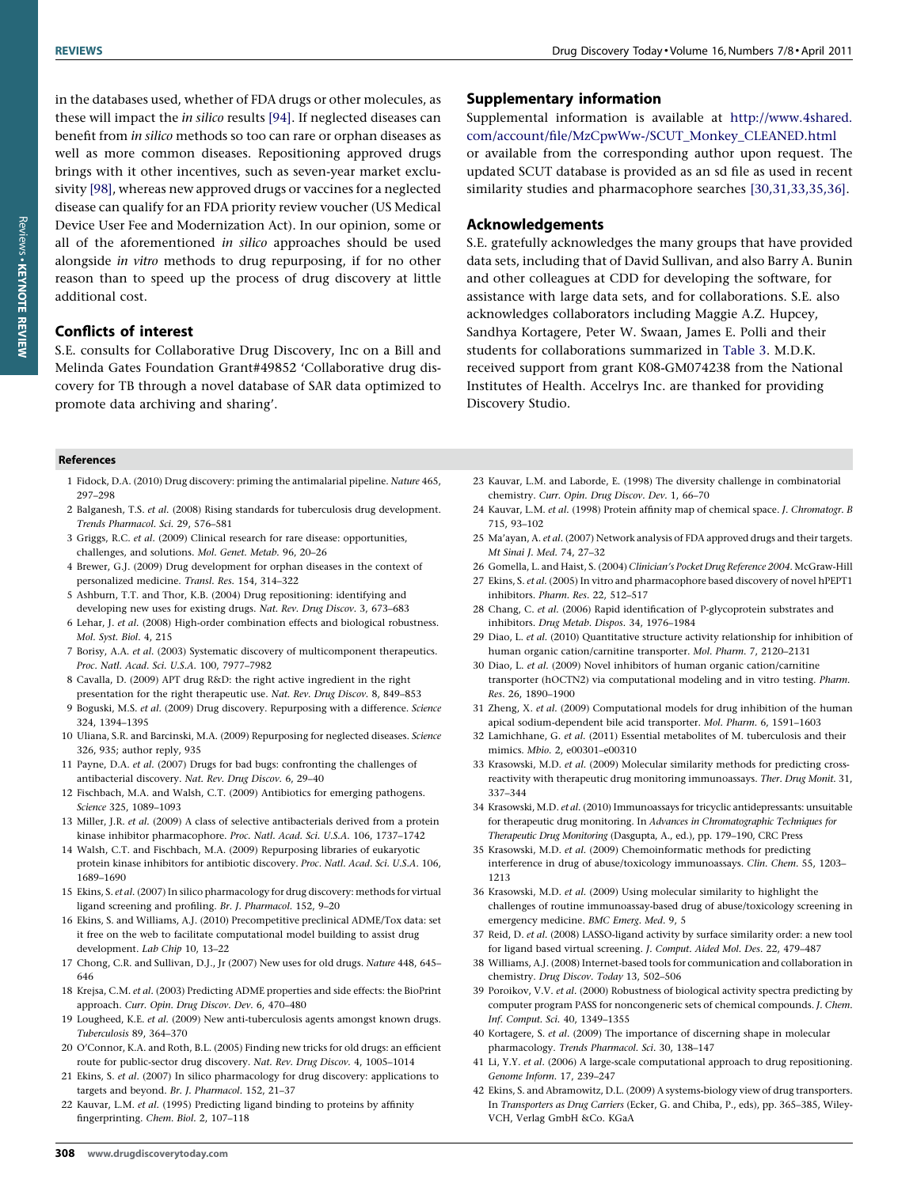<span id="page-10-0"></span>in the databases used, whether of FDA drugs or other molecules, as these will impact the in silico results [\[94\].](#page-11-0) If neglected diseases can benefit from in silico methods so too can rare or orphan diseases as well as more common diseases. Repositioning approved drugs brings with it other incentives, such as seven-year market exclusivity [\[98\]](#page-11-0), whereas new approved drugs or vaccines for a neglected disease can qualify for an FDA priority review voucher (US Medical Device User Fee and Modernization Act). In our opinion, some or all of the aforementioned in silico approaches should be used alongside in vitro methods to drug repurposing, if for no other reason than to speed up the process of drug discovery at little additional cost.

## Conflicts of interest

S.E. consults for Collaborative Drug Discovery, Inc on a Bill and Melinda Gates Foundation Grant#49852 'Collaborative drug discovery for TB through a novel database of SAR data optimized to promote data archiving and sharing'.

#### Supplementary information

Supplemental information is available at [http://www.4shared.](http://www.4shared.com/account/file/MzCpwWw-/SCUT_Monkey_CLEANED.html) [com/account/file/MzCpwWw-/SCUT\\_Monkey\\_CLEANED.html](http://www.4shared.com/account/file/MzCpwWw-/SCUT_Monkey_CLEANED.html) or available from the corresponding author upon request. The updated SCUT database is provided as an sd file as used in recent similarity studies and pharmacophore searches [30,31,33,35,36].

#### Acknowledgements

S.E. gratefully acknowledges the many groups that have provided data sets, including that of David Sullivan, and also Barry A. Bunin and other colleagues at CDD for developing the software, for assistance with large data sets, and for collaborations. S.E. also acknowledges collaborators including Maggie A.Z. Hupcey, Sandhya Kortagere, Peter W. Swaan, James E. Polli and their students for collaborations summarized in [Table 3](#page-5-0). M.D.K. received support from grant K08-GM074238 from the National Institutes of Health. Accelrys Inc. are thanked for providing Discovery Studio.

#### References

- 1 Fidock, D.A. (2010) Drug discovery: priming the antimalarial pipeline. Nature 465, 297–298
- 2 Balganesh, T.S. et al. (2008) Rising standards for tuberculosis drug development. Trends Pharmacol. Sci. 29, 576–581
- 3 Griggs, R.C. et al. (2009) Clinical research for rare disease: opportunities, challenges, and solutions. Mol. Genet. Metab. 96, 20–26
- 4 Brewer, G.J. (2009) Drug development for orphan diseases in the context of personalized medicine. Transl. Res. 154, 314–322
- 5 Ashburn, T.T. and Thor, K.B. (2004) Drug repositioning: identifying and developing new uses for existing drugs. Nat. Rev. Drug Discov. 3, 673–683
- 6 Lehar, J. et al. (2008) High-order combination effects and biological robustness. Mol. Syst. Biol. 4, 215
- 7 Borisy, A.A. et al. (2003) Systematic discovery of multicomponent therapeutics. Proc. Natl. Acad. Sci. U.S.A. 100, 7977–7982
- 8 Cavalla, D. (2009) APT drug R&D: the right active ingredient in the right presentation for the right therapeutic use. Nat. Rev. Drug Discov. 8, 849–853
- 9 Boguski, M.S. et al. (2009) Drug discovery. Repurposing with a difference. Science 324, 1394–1395
- 10 Uliana, S.R. and Barcinski, M.A. (2009) Repurposing for neglected diseases. Science 326, 935; author reply, 935
- 11 Payne, D.A. et al. (2007) Drugs for bad bugs: confronting the challenges of antibacterial discovery. Nat. Rev. Drug Discov. 6, 29–40
- 12 Fischbach, M.A. and Walsh, C.T. (2009) Antibiotics for emerging pathogens. Science 325, 1089–1093
- 13 Miller, J.R. et al. (2009) A class of selective antibacterials derived from a protein kinase inhibitor pharmacophore. Proc. Natl. Acad. Sci. U.S.A. 106, 1737–1742
- 14 Walsh, C.T. and Fischbach, M.A. (2009) Repurposing libraries of eukaryotic protein kinase inhibitors for antibiotic discovery. Proc. Natl. Acad. Sci. U.S.A. 106, 1689–1690
- 15 Ekins, S. et al. (2007) In silico pharmacology for drug discovery: methods for virtual ligand screening and profiling. Br. J. Pharmacol. 152, 9–20
- 16 Ekins, S. and Williams, A.J. (2010) Precompetitive preclinical ADME/Tox data: set it free on the web to facilitate computational model building to assist drug development. Lab Chip 10, 13–22
- 17 Chong, C.R. and Sullivan, D.J., Jr (2007) New uses for old drugs. Nature 448, 645– 646
- 18 Krejsa, C.M. et al. (2003) Predicting ADME properties and side effects: the BioPrint approach. Curr. Opin. Drug Discov. Dev. 6, 470–480
- 19 Lougheed, K.E. et al. (2009) New anti-tuberculosis agents amongst known drugs. Tuberculosis 89, 364–370
- 20 O'Connor, K.A. and Roth, B.L. (2005) Finding new tricks for old drugs: an efficient route for public-sector drug discovery. Nat. Rev. Drug Discov. 4, 1005–1014
- 21 Ekins, S. et al. (2007) In silico pharmacology for drug discovery: applications to targets and beyond. Br. J. Pharmacol. 152, 21–37
- 22 Kauvar, L.M. et al. (1995) Predicting ligand binding to proteins by affinity fingerprinting. Chem. Biol. 2, 107–118
- 23 Kauvar, L.M. and Laborde, E. (1998) The diversity challenge in combinatorial chemistry. Curr. Opin. Drug Discov. Dev. 1, 66–70
- 24 Kauvar, L.M. et al. (1998) Protein affinity map of chemical space. J. Chromatogr. B 715, 93–102
- 25 Ma'ayan, A. et al. (2007) Network analysis of FDA approved drugs and their targets. Mt Sinai J. Med. 74, 27–32
- 26 Gomella, L. and Haist, S. (2004) Clinician's Pocket Drug Reference 2004. McGraw-Hill
- 27 Ekins, S. et al. (2005) In vitro and pharmacophore based discovery of novel hPEPT1 inhibitors. Pharm. Res. 22, 512–517
- 28 Chang, C. et al. (2006) Rapid identification of P-glycoprotein substrates and inhibitors. Drug Metab. Dispos. 34, 1976–1984
- 29 Diao, L. et al. (2010) Quantitative structure activity relationship for inhibition of human organic cation/carnitine transporter. Mol. Pharm. 7, 2120–2131
- 30 Diao, L. et al. (2009) Novel inhibitors of human organic cation/carnitine transporter (hOCTN2) via computational modeling and in vitro testing. Pharm. Res. 26, 1890–1900
- 31 Zheng, X. et al. (2009) Computational models for drug inhibition of the human apical sodium-dependent bile acid transporter. Mol. Pharm. 6, 1591–1603
- 32 Lamichhane, G. et al. (2011) Essential metabolites of M. tuberculosis and their mimics. Mbio. 2, e00301–e00310
- 33 Krasowski, M.D. et al. (2009) Molecular similarity methods for predicting crossreactivity with therapeutic drug monitoring immunoassays. Ther. Drug Monit. 31, 337–344
- 34 Krasowski, M.D. et al. (2010) Immunoassays for tricyclic antidepressants: unsuitable for therapeutic drug monitoring. In Advances in Chromatographic Techniques for Therapeutic Drug Monitoring (Dasgupta, A., ed.), pp. 179–190, CRC Press
- 35 Krasowski, M.D. et al. (2009) Chemoinformatic methods for predicting interference in drug of abuse/toxicology immunoassays. Clin. Chem. 55, 1203– 1213
- 36 Krasowski, M.D. et al. (2009) Using molecular similarity to highlight the challenges of routine immunoassay-based drug of abuse/toxicology screening in emergency medicine. BMC Emerg. Med. 9, 5
- 37 Reid, D. et al. (2008) LASSO-ligand activity by surface similarity order: a new tool for ligand based virtual screening. J. Comput. Aided Mol. Des. 22, 479–487
- 38 Williams, A.J. (2008) Internet-based tools for communication and collaboration in chemistry. Drug Discov. Today 13, 502–506
- 39 Poroikov, V.V. et al. (2000) Robustness of biological activity spectra predicting by computer program PASS for noncongeneric sets of chemical compounds. J. Chem. Inf. Comput. Sci. 40, 1349–1355
- 40 Kortagere, S. et al. (2009) The importance of discerning shape in molecular pharmacology. Trends Pharmacol. Sci. 30, 138–147
- 41 Li, Y.Y. et al. (2006) A large-scale computational approach to drug repositioning. Genome Inform. 17, 239–247
- 42 Ekins, S. and Abramowitz, D.L. (2009) A systems-biology view of drug transporters. In Transporters as Drug Carriers (Ecker, G. and Chiba, P., eds), pp. 365–385, Wiley-VCH, Verlag GmbH &Co. KGaA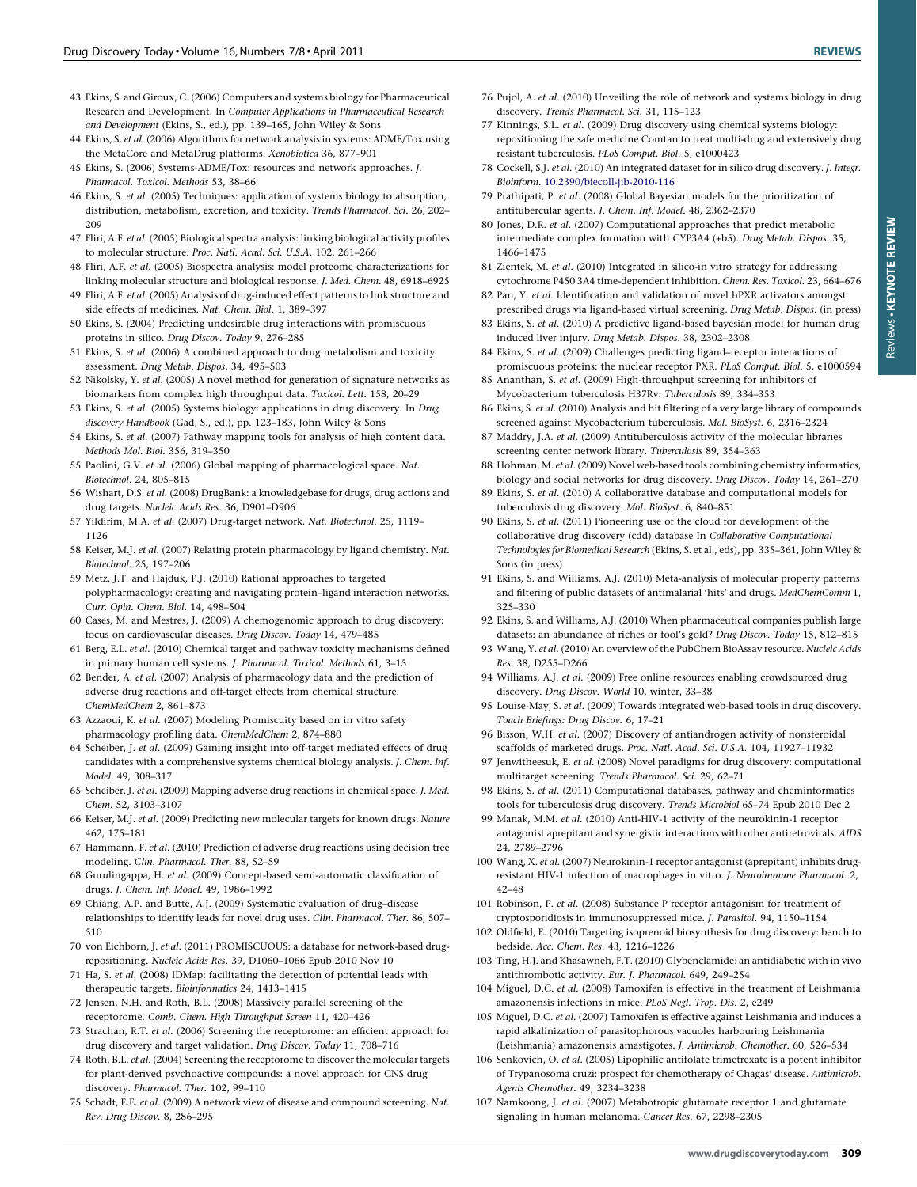- <span id="page-11-0"></span>44 Ekins, S. et al. (2006) Algorithms for network analysis in systems: ADME/Tox using the MetaCore and MetaDrug platforms. Xenobiotica 36, 877–901
- 45 Ekins, S. (2006) Systems-ADME/Tox: resources and network approaches. J. Pharmacol. Toxicol. Methods 53, 38–66
- 46 Ekins, S. et al. (2005) Techniques: application of systems biology to absorption, distribution, metabolism, excretion, and toxicity. Trends Pharmacol. Sci. 26, 202– 209
- 47 Fliri, A.F. et al. (2005) Biological spectra analysis: linking biological activity profiles to molecular structure. Proc. Natl. Acad. Sci. U.S.A. 102, 261–266
- 48 Fliri, A.F. et al. (2005) Biospectra analysis: model proteome characterizations for linking molecular structure and biological response. J. Med. Chem. 48, 6918–6925
- 49 Fliri, A.F. et al. (2005) Analysis of drug-induced effect patterns to link structure and side effects of medicines. Nat. Chem. Biol. 1, 389–397
- 50 Ekins, S. (2004) Predicting undesirable drug interactions with promiscuous proteins in silico. Drug Discov. Today 9, 276–285
- 51 Ekins, S. et al. (2006) A combined approach to drug metabolism and toxicity assessment. Drug Metab. Dispos. 34, 495–503
- 52 Nikolsky, Y. et al. (2005) A novel method for generation of signature networks as biomarkers from complex high throughput data. Toxicol. Lett. 158, 20–29
- 53 Ekins, S. et al. (2005) Systems biology: applications in drug discovery. In Drug discovery Handbook (Gad, S., ed.), pp. 123–183, John Wiley & Sons
- 54 Ekins, S. et al. (2007) Pathway mapping tools for analysis of high content data. Methods Mol. Biol. 356, 319–350
- 55 Paolini, G.V. et al. (2006) Global mapping of pharmacological space. Nat. Biotechnol. 24, 805–815
- 56 Wishart, D.S. et al. (2008) DrugBank: a knowledgebase for drugs, drug actions and drug targets. Nucleic Acids Res. 36, D901–D906
- 57 Yildirim, M.A. et al. (2007) Drug-target network. Nat. Biotechnol. 25, 1119– 1126
- 58 Keiser, M.J. et al. (2007) Relating protein pharmacology by ligand chemistry. Nat. Biotechnol. 25, 197–206
- 59 Metz, J.T. and Hajduk, P.J. (2010) Rational approaches to targeted polypharmacology: creating and navigating protein–ligand interaction networks. Curr. Opin. Chem. Biol. 14, 498–504
- 60 Cases, M. and Mestres, J. (2009) A chemogenomic approach to drug discovery: focus on cardiovascular diseases. Drug Discov. Today 14, 479–485
- 61 Berg, E.L. et al. (2010) Chemical target and pathway toxicity mechanisms defined in primary human cell systems. J. Pharmacol. Toxicol. Methods 61, 3–15
- 62 Bender, A. et al. (2007) Analysis of pharmacology data and the prediction of adverse drug reactions and off-target effects from chemical structure. ChemMedChem 2, 861–873
- 63 Azzaoui, K. et al. (2007) Modeling Promiscuity based on in vitro safety pharmacology profiling data. ChemMedChem 2, 874–880
- 64 Scheiber, J. et al. (2009) Gaining insight into off-target mediated effects of drug candidates with a comprehensive systems chemical biology analysis. J. Chem. Inf. Model. 49, 308–317
- 65 Scheiber, J. et al. (2009) Mapping adverse drug reactions in chemical space. J. Med. Chem. 52, 3103–3107
- 66 Keiser, M.J. et al. (2009) Predicting new molecular targets for known drugs. Nature 462, 175–181
- 67 Hammann, F. et al. (2010) Prediction of adverse drug reactions using decision tree modeling. Clin. Pharmacol. Ther. 88, 52–59
- 68 Gurulingappa, H. et al. (2009) Concept-based semi-automatic classification of drugs. J. Chem. Inf. Model. 49, 1986–1992
- 69 Chiang, A.P. and Butte, A.J. (2009) Systematic evaluation of drug–disease relationships to identify leads for novel drug uses. Clin. Pharmacol. Ther. 86, 507– 510
- 70 von Eichborn, J. et al. (2011) PROMISCUOUS: a database for network-based drugrepositioning. Nucleic Acids Res. 39, D1060–1066 Epub 2010 Nov 10
- 71 Ha, S. et al. (2008) IDMap: facilitating the detection of potential leads with therapeutic targets. Bioinformatics 24, 1413–1415
- 72 Jensen, N.H. and Roth, B.L. (2008) Massively parallel screening of the receptorome. Comb. Chem. High Throughput Screen 11, 420–426
- 73 Strachan, R.T. et al. (2006) Screening the receptorome: an efficient approach for drug discovery and target validation. Drug Discov. Today 11, 708–716
- 74 Roth, B.L. et al. (2004) Screening the receptorome to discover the molecular targets for plant-derived psychoactive compounds: a novel approach for CNS drug discovery. Pharmacol. Ther. 102, 99–110
- 75 Schadt, E.E. et al. (2009) A network view of disease and compound screening. Nat. Rev. Drug Discov. 8, 286–295
- 76 Pujol, A. et al. (2010) Unveiling the role of network and systems biology in drug discovery. Trends Pharmacol. Sci. 31, 115–123
- 77 Kinnings, S.L. et al. (2009) Drug discovery using chemical systems biology: repositioning the safe medicine Comtan to treat multi-drug and extensively drug resistant tuberculosis. PLoS Comput. Biol. 5, e1000423
- 78 Cockell, S.J. et al. (2010) An integrated dataset for in silico drug discovery. J. Integr. Bioinform. [10.2390/biecoll-jib-2010-116](http://dx.doi.org/10.2390/biecoll-jib-2010-116)
- 79 Prathipati, P. et al. (2008) Global Bayesian models for the prioritization of antitubercular agents. J. Chem. Inf. Model. 48, 2362–2370
- 80 Jones, D.R. et al. (2007) Computational approaches that predict metabolic intermediate complex formation with CYP3A4 (+b5). Drug Metab. Dispos. 35, 1466–1475
- 81 Zientek, M. et al. (2010) Integrated in silico-in vitro strategy for addressing cytochrome P450 3A4 time-dependent inhibition. Chem. Res. Toxicol. 23, 664–676
- 82 Pan, Y. et al. Identification and validation of novel hPXR activators amongst prescribed drugs via ligand-based virtual screening. Drug Metab. Dispos. (in press)
- 83 Ekins, S. et al. (2010) A predictive ligand-based bayesian model for human drug induced liver injury. Drug Metab. Dispos. 38, 2302–2308
- 84 Ekins, S. et al. (2009) Challenges predicting ligand–receptor interactions of promiscuous proteins: the nuclear receptor PXR. PLoS Comput. Biol. 5, e1000594
- 85 Ananthan, S. et al. (2009) High-throughput screening for inhibitors of Mycobacterium tuberculosis H37Rv. Tuberculosis 89, 334–353
- 86 Ekins, S. et al. (2010) Analysis and hit filtering of a very large library of compounds screened against Mycobacterium tuberculosis. Mol. BioSyst. 6, 2316–2324
- 87 Maddry, J.A. et al. (2009) Antituberculosis activity of the molecular libraries screening center network library. Tuberculosis 89, 354–363
- 88 Hohman, M. et al. (2009) Novel web-based tools combining chemistry informatics, biology and social networks for drug discovery. Drug Discov. Today 14, 261–270
- 89 Ekins, S. et al. (2010) A collaborative database and computational models for tuberculosis drug discovery. Mol. BioSyst. 6, 840–851
- 90 Ekins, S. et al. (2011) Pioneering use of the cloud for development of the collaborative drug discovery (cdd) database In Collaborative Computational Technologies for Biomedical Research (Ekins, S. et al., eds), pp. 335–361, John Wiley & Sons (in press)
- 91 Ekins, S. and Williams, A.J. (2010) Meta-analysis of molecular property patterns and filtering of public datasets of antimalarial 'hits' and drugs. MedChemComm 1, 325–330
- 92 Ekins, S. and Williams, A.J. (2010) When pharmaceutical companies publish large datasets: an abundance of riches or fool's gold? Drug Discov. Today 15, 812–815
- 93 Wang, Y. et al. (2010) An overview of the PubChem BioAssay resource. Nucleic Acids Res. 38, D255–D266
- 94 Williams, A.J. et al. (2009) Free online resources enabling crowdsourced drug discovery. Drug Discov. World 10, winter, 33–38
- 95 Louise-May, S. et al. (2009) Towards integrated web-based tools in drug discovery. Touch Briefings: Drug Discov. 6, 17–21
- 96 Bisson, W.H. et al. (2007) Discovery of antiandrogen activity of nonsteroidal scaffolds of marketed drugs. Proc. Natl. Acad. Sci. U.S.A. 104, 11927–11932
- 97 Jenwitheesuk, E. et al. (2008) Novel paradigms for drug discovery: computational multitarget screening. Trends Pharmacol. Sci. 29, 62–71
- 98 Ekins, S. et al. (2011) Computational databases, pathway and cheminformatics tools for tuberculosis drug discovery. Trends Microbiol 65–74 Epub 2010 Dec 2
- 99 Manak, M.M. et al. (2010) Anti-HIV-1 activity of the neurokinin-1 receptor antagonist aprepitant and synergistic interactions with other antiretrovirals. AIDS 24, 2789–2796
- 100 Wang, X. et al. (2007) Neurokinin-1 receptor antagonist (aprepitant) inhibits drugresistant HIV-1 infection of macrophages in vitro. J. Neuroimmune Pharmacol. 2, 42–48
- 101 Robinson, P. et al. (2008) Substance P receptor antagonism for treatment of cryptosporidiosis in immunosuppressed mice. J. Parasitol. 94, 1150–1154
- 102 Oldfield, E. (2010) Targeting isoprenoid biosynthesis for drug discovery: bench to bedside. Acc. Chem. Res. 43, 1216–1226
- 103 Ting, H.J. and Khasawneh, F.T. (2010) Glybenclamide: an antidiabetic with in vivo antithrombotic activity. Eur. J. Pharmacol. 649, 249–254
- 104 Miguel, D.C. et al. (2008) Tamoxifen is effective in the treatment of Leishmania amazonensis infections in mice. PLoS Negl. Trop. Dis. 2, e249
- 105 Miguel, D.C. et al. (2007) Tamoxifen is effective against Leishmania and induces a rapid alkalinization of parasitophorous vacuoles harbouring Leishmania (Leishmania) amazonensis amastigotes. J. Antimicrob. Chemother. 60, 526–534
- 106 Senkovich, O. et al. (2005) Lipophilic antifolate trimetrexate is a potent inhibitor of Trypanosoma cruzi: prospect for chemotherapy of Chagas' disease. Antimicrob. Agents Chemother. 49, 3234–3238
- 107 Namkoong, J. et al. (2007) Metabotropic glutamate receptor 1 and glutamate signaling in human melanoma. Cancer Res. 67, 2298–2305